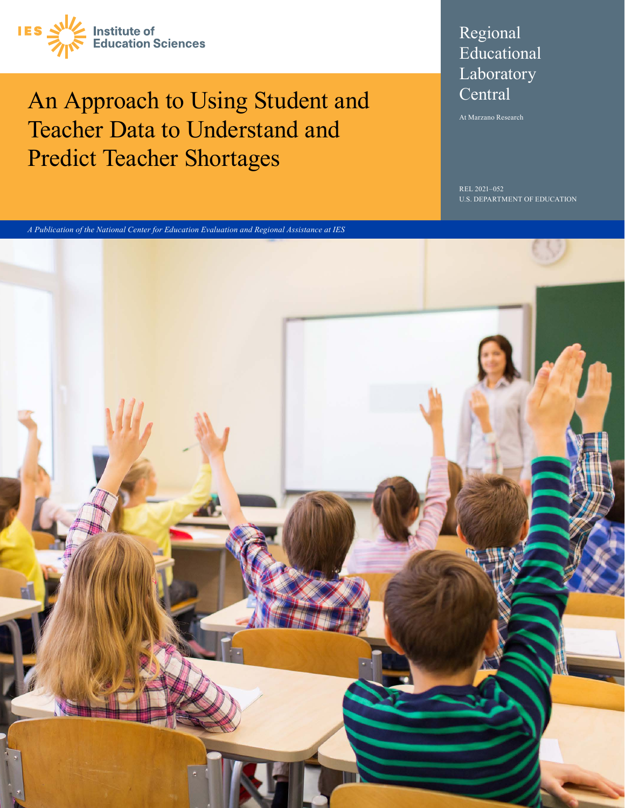

## An Approach to Using Student and Teacher Data to Understand and Predict Teacher Shortages

### Regional Educational Laboratory **Central**

At Marzano Research

REL 2021–052 U.S. DEPARTMENT OF EDUCATION



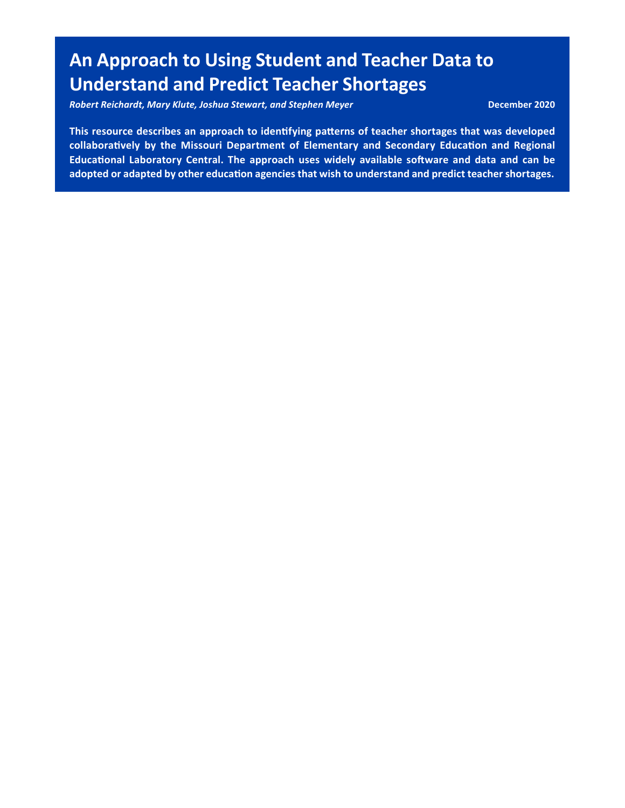## **An Approach to Using Student and Teacher Data to Understand and Predict Teacher Shortages**

*Robert Reichardt, Mary Klute, Joshua Stewart, and Stephen Meyer* **December 2020** 

 **This resource describes an approach to identifying patterns of teacher shortages that was developed collaboratively by the Missouri Department of Elementary and Secondary Education and Regional Educational Laboratory Central. The approach uses widely available software and data and can be adopted or adapted by other education agencies that wish to understand and predict teacher shortages.**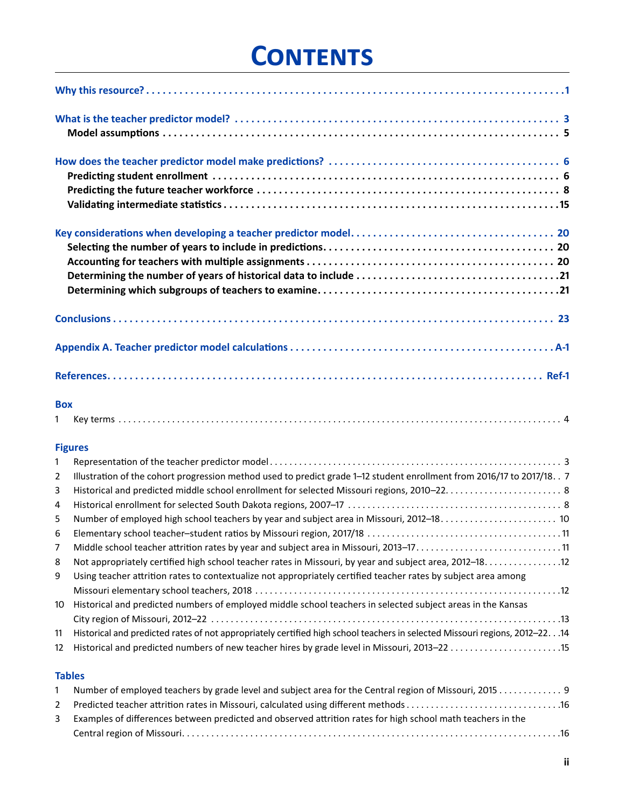# **Contents**

| <b>Box</b><br>1                                                                  |                                                                                                                                                                                                                                                                                                                                                                                                                                                                                                                                                                                                     |
|----------------------------------------------------------------------------------|-----------------------------------------------------------------------------------------------------------------------------------------------------------------------------------------------------------------------------------------------------------------------------------------------------------------------------------------------------------------------------------------------------------------------------------------------------------------------------------------------------------------------------------------------------------------------------------------------------|
|                                                                                  |                                                                                                                                                                                                                                                                                                                                                                                                                                                                                                                                                                                                     |
|                                                                                  | <b>Figures</b>                                                                                                                                                                                                                                                                                                                                                                                                                                                                                                                                                                                      |
| $\overline{2}$<br>3<br>4<br>5<br>6<br>7<br>8<br>9<br>10 <sup>°</sup><br>11<br>12 | Illustration of the cohort progression method used to predict grade 1-12 student enrollment from 2016/17 to 2017/18. . 7<br>Not appropriately certified high school teacher rates in Missouri, by year and subject area, 2012-18. 12<br>Using teacher attrition rates to contextualize not appropriately certified teacher rates by subject area among<br>Historical and predicted numbers of employed middle school teachers in selected subject areas in the Kansas<br>Historical and predicted rates of not appropriately certified high school teachers in selected Missouri regions, 2012-2214 |
|                                                                                  |                                                                                                                                                                                                                                                                                                                                                                                                                                                                                                                                                                                                     |

#### **Tables**

| Number of employed teachers by grade level and subject area for the Central region of Missouri, 2015 9        |
|---------------------------------------------------------------------------------------------------------------|
|                                                                                                               |
| 3 Examples of differences between predicted and observed attrition rates for high school math teachers in the |
|                                                                                                               |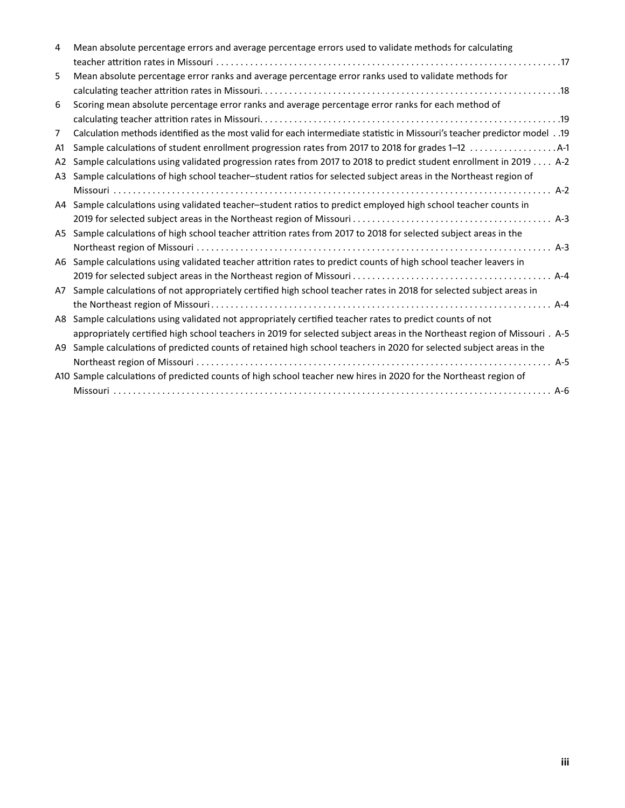| Mean absolute percentage errors and average percentage errors used to validate methods for calculating                       |
|------------------------------------------------------------------------------------------------------------------------------|
|                                                                                                                              |
| Mean absolute percentage error ranks and average percentage error ranks used to validate methods for                         |
|                                                                                                                              |
| Scoring mean absolute percentage error ranks and average percentage error ranks for each method of                           |
|                                                                                                                              |
| 01. Calculation methods identified as the most valid for each intermediate statistic in Missouri's teacher predictor model19 |
|                                                                                                                              |
| Sample calculations using validated progression rates from 2017 to 2018 to predict student enrollment in 2019 A-2            |
| Sample calculations of high school teacher-student ratios for selected subject areas in the Northeast region of              |
|                                                                                                                              |
| A4 Sample calculations using validated teacher-student ratios to predict employed high school teacher counts in              |
|                                                                                                                              |
| A5 Sample calculations of high school teacher attrition rates from 2017 to 2018 for selected subject areas in the            |
|                                                                                                                              |
| A6 Sample calculations using validated teacher attrition rates to predict counts of high school teacher leavers in           |
|                                                                                                                              |
| Sample calculations of not appropriately certified high school teacher rates in 2018 for selected subject areas in           |
|                                                                                                                              |
| Sample calculations using validated not appropriately certified teacher rates to predict counts of not                       |
| appropriately certified high school teachers in 2019 for selected subject areas in the Northeast region of Missouri. A-5     |
| Sample calculations of predicted counts of retained high school teachers in 2020 for selected subject areas in the<br>A9     |
|                                                                                                                              |
| A10 Sample calculations of predicted counts of high school teacher new hires in 2020 for the Northeast region of             |
|                                                                                                                              |
|                                                                                                                              |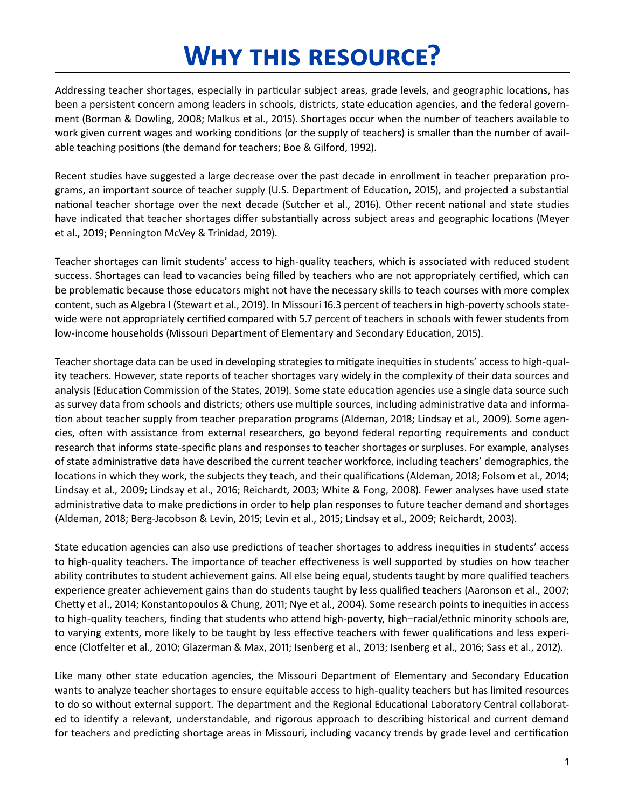# **Why this resource?**

<span id="page-4-0"></span> Addressing teacher shortages, especially in particular subject areas, grade levels, and geographic locations, has been a persistent concern among leaders in schools, districts, state education agencies, and the federal government (Borman & Dowling, 2008; Malkus et al., 2015). Shortages occur when the number of teachers available to work given current wages and working conditions (or the supply of teachers) is smaller than the number of available teaching positions (the demand for teachers; Boe & Gilford, 1992).

 Recent studies have suggested a large decrease over the past decade in enrollment in teacher preparation programs, an important source of teacher supply (U.S. Department of Education, 2015), and projected a substantial national teacher shortage over the next decade (Sutcher et al., 2016). Other recent national and state studies have indicated that teacher shortages differ substantially across subject areas and geographic locations (Meyer et al., 2019; Pennington McVey & Trinidad, 2019).

 Teacher shortages can limit students' access to high-quality teachers, which is associated with reduced student success. Shortages can lead to vacancies being filled by teachers who are not appropriately certified, which can be problematic because those educators might not have the necessary skills to teach courses with more complex content, such as Algebra I (Stewart et al., 2019). In Missouri 16.3 percent of teachers in high-poverty schools statewide were not appropriately certified compared with 5.7 percent of teachers in schools with fewer students from low-income households (Missouri Department of Elementary and Secondary Education, 2015) .

 Teacher shortage data can be used in developing strategies to mitigate inequities in students' access to high-quality teachers. However, state reports of teacher shortages vary widely in the complexity of their data sources and analysis (Education Commission of the States, 2019). Some state education agencies use a single data source such as survey data from schools and districts; others use multiple sources, including administrative data and information about teacher supply from teacher preparation programs (Aldeman, 2018; Lindsay et al., 2009). Some agen- cies, often with assistance from external researchers, go beyond federal reporting requirements and conduct research that informs state-specific plans and responses to teacher shortages or surpluses. For example, analyses of state administrative data have described the current teacher workforce, including teachers' demographics, the locations in which they work, the subjects they teach, and their qualifications (Aldeman, 2018; Folsom et al., 2014; Lindsay et al., 2009; Lindsay et al., 2016; Reichardt, 2003; White & Fong, 2008). Fewer analyses have used state administrative data to make predictions in order to help plan responses to future teacher demand and shortages (Aldeman, 2018; Berg-Jacobson & Levin, 2015; Levin et al ., 2015; Lindsay et al ., 2009; Reichardt, 2003) .

 State education agencies can also use predictions of teacher shortages to address inequities in students' access to high-quality teachers. The importance of teacher effectiveness is well supported by studies on how teacher ability contributes to student achievement gains. All else being equal, students taught by more qualified teachers experience greater achievement gains than do students taught by less qualified teachers (Aaronson et al., 2007; Chetty et al., 2014; Konstantopoulos & Chung, 2011; Nye et al., 2004). Some research points to inequities in access to high-quality teachers, finding that students who attend high-poverty, high–racial/ethnic minority schools are, to varying extents, more likely to be taught by less effective teachers with fewer qualifications and less experience (Clotfelter et al., 2010; Glazerman & Max, 2011; Isenberg et al., 2013; Isenberg et al., 2016; Sass et al., 2012).

 Like many other state education agencies, the Missouri Department of Elementary and Secondary Education wants to analyze teacher shortages to ensure equitable access to high-quality teachers but has limited resources to do so without external support. The department and the Regional Educational Laboratory Central collaborat- ed to identify a relevant, understandable, and rigorous approach to describing historical and current demand for teachers and predicting shortage areas in Missouri, including vacancy trends by grade level and certification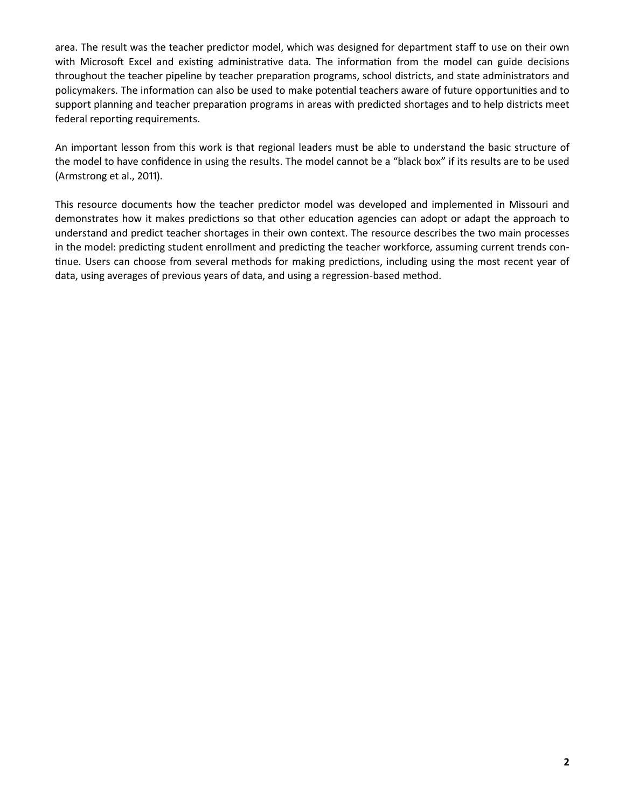area. The result was the teacher predictor model, which was designed for department staff to use on their own with Microsoft Excel and existing administrative data. The information from the model can guide decisions throughout the teacher pipeline by teacher preparation programs, school districts, and state administrators and policymakers. The information can also be used to make potential teachers aware of future opportunities and to support planning and teacher preparation programs in areas with predicted shortages and to help districts meet federal reporting requirements.

 An important lesson from this work is that regional leaders must be able to understand the basic structure of the model to have confidence in using the results. The model cannot be a "black box" if its results are to be used (Armstrong et al., 2011).

 This resource documents how the teacher predictor model was developed and implemented in Missouri and demonstrates how it makes predictions so that other education agencies can adopt or adapt the approach to understand and predict teacher shortages in their own context. The resource describes the two main processes in the model: predicting student enrollment and predicting the teacher workforce, assuming current trends continue. Users can choose from several methods for making predictions, including using the most recent year of data, using averages of previous years of data, and using a regression-based method.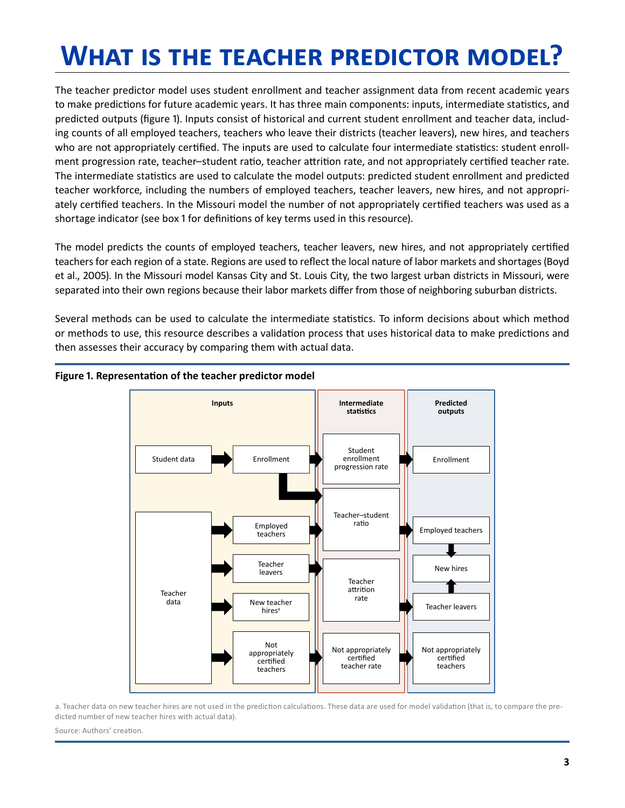# <span id="page-6-0"></span>**What is the teacher predictor model?**

 The teacher predictor model uses student enrollment and teacher assignment data from recent academic years to make predictions for future academic years. It has three main components: inputs, intermediate statistics, and predicted outputs (figure 1). Inputs consist of historical and current student enrollment and teacher data, includ- ing counts of all employed teachers, teachers who leave their districts (teacher leavers), new hires, and teachers who are not appropriately certified. The inputs are used to calculate four intermediate statistics: student enroll- ment progression rate, teacher–student ratio, teacher attrition rate, and not appropriately certified teacher rate . The intermediate statistics are used to calculate the model outputs: predicted student enrollment and predicted teacher workforce, including the numbers of employed teachers, teacher leavers, new hires, and not appropriately certified teachers. In the Missouri model the number of not appropriately certified teachers was used as a shortage indicator (see box 1 for definitions of key terms used in this resource) .

 The model predicts the counts of employed teachers, teacher leavers, new hires, and not appropriately certified teachers for each region of a state. Regions are used to reflect the local nature of labor markets and shortages (Boyd et al., 2005). In the Missouri model Kansas City and St. Louis City, the two largest urban districts in Missouri, were separated into their own regions because their labor markets differ from those of neighboring suburban districts.

Several methods can be used to calculate the intermediate statistics. To inform decisions about which method or methods to use, this resource describes a validation process that uses historical data to make predictions and then assesses their accuracy by comparing them with actual data.



#### **Figure 1. Representation of the teacher predictor model**

a. Teacher data on new teacher hires are not used in the prediction calculations. These data are used for model validation (that is, to compare the predicted number of new teacher hires with actual data).

Source: Authors' creation.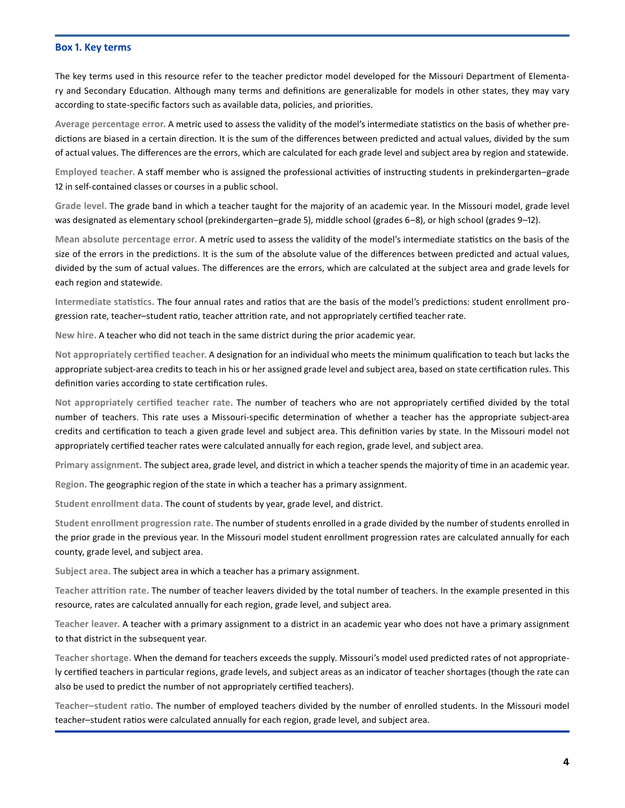#### <span id="page-7-0"></span>**Box 1. Key terms**

 The key terms used in this resource refer to the teacher predictor model developed for the Missouri Department of Elementary and Secondary Education. Although many terms and definitions are generalizable for models in other states, they may vary according to state-specific factors such as available data, policies, and priorities .

Average percentage error. A metric used to assess the validity of the model's intermediate statistics on the basis of whether predictions are biased in a certain direction. It is the sum of the differences between predicted and actual values, divided by the sum of actual values. The differences are the errors, which are calculated for each grade level and subject area by region and statewide.

 **Employed teacher.** A staff member who is assigned the professional activities of instructing students in prekindergarten–grade 12 in self-contained classes or courses in a public school.

Grade level. The grade band in which a teacher taught for the majority of an academic year. In the Missouri model, grade level was designated as elementary school (prekindergarten–grade 5), middle school (grades 6–8), or high school (grades 9–12) .

Mean absolute percentage error. A metric used to assess the validity of the model's intermediate statistics on the basis of the size of the errors in the predictions. It is the sum of the absolute value of the differences between predicted and actual values, divided by the sum of actual values. The differences are the errors, which are calculated at the subject area and grade levels for each region and statewide.

 **Intermediate statistics.** The four annual rates and ratios that are the basis of the model's predictions: student enrollment pro- gression rate, teacher–student ratio, teacher attrition rate, and not appropriately certified teacher rate .

 **New hire.** A teacher who did not teach in the same district during the prior academic year .

Not appropriately certified teacher. A designation for an individual who meets the minimum qualification to teach but lacks the appropriate subject-area credits to teach in his or her assigned grade level and subject area, based on state certification rules. This definition varies according to state certification rules.

Not appropriately certified teacher rate. The number of teachers who are not appropriately certified divided by the total number of teachers. This rate uses a Missouri-specific determination of whether a teacher has the appropriate subject-area credits and certification to teach a given grade level and subject area. This definition varies by state. In the Missouri model not appropriately certified teacher rates were calculated annually for each region, grade level, and subject area .

 **Primary assignment.** The subject area, grade level, and district in which a teacher spends the majority of time in an academic year .

 **Region.** The geographic region of the state in which a teacher has a primary assignment .

Student enrollment data. The count of students by year, grade level, and district.

Student enrollment progression rate. The number of students enrolled in a grade divided by the number of students enrolled in the prior grade in the previous year. In the Missouri model student enrollment progression rates are calculated annually for each county, grade level, and subject area.

Subject area. The subject area in which a teacher has a primary assignment.

Teacher attrition rate. The number of teacher leavers divided by the total number of teachers. In the example presented in this resource, rates are calculated annually for each region, grade level, and subject area .

 **Teacher leaver.** A teacher with a primary assignment to a district in an academic year who does not have a primary assignment to that district in the subsequent year.

Teacher shortage. When the demand for teachers exceeds the supply. Missouri's model used predicted rates of not appropriate- ly certified teachers in particular regions, grade levels, and subject areas as an indicator of teacher shortages (though the rate can also be used to predict the number of not appropriately certified teachers) .

Teacher–student ratio. The number of employed teachers divided by the number of enrolled students. In the Missouri model teacher–student ratios were calculated annually for each region, grade level, and subject area .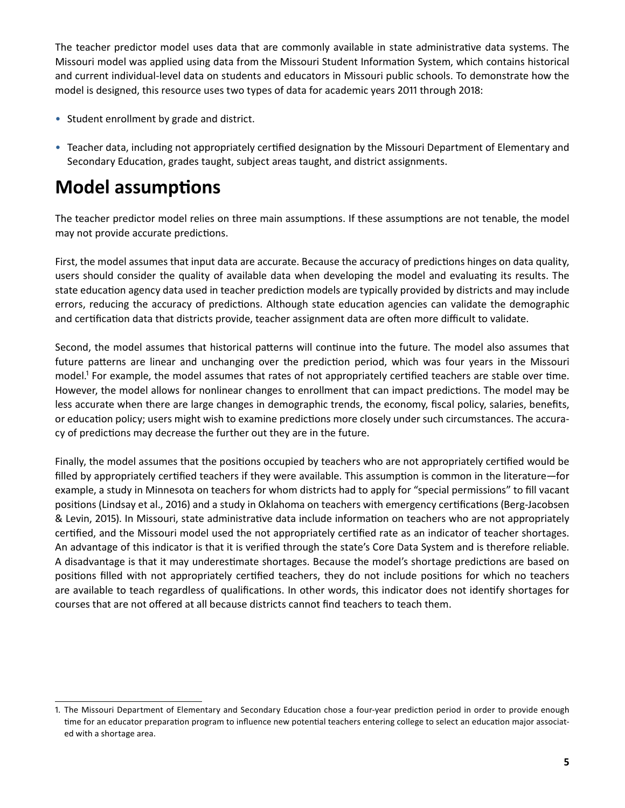<span id="page-8-0"></span>The teacher predictor model uses data that are commonly available in state administrative data systems. The Missouri model was applied using data from the Missouri Student Information System, which contains historical and current individual-level data on students and educators in Missouri public schools. To demonstrate how the model is designed, this resource uses two types of data for academic years 2011 through 2018:

- Student enrollment by grade and district.
- Teacher data, including not appropriately certified designation by the Missouri Department of Elementary and Secondary Education, grades taught, subject areas taught, and district assignments.

## **Model assumptions**

The teacher predictor model relies on three main assumptions. If these assumptions are not tenable, the model may not provide accurate predictions.

First, the model assumes that input data are accurate. Because the accuracy of predictions hinges on data quality, users should consider the quality of available data when developing the model and evaluating its results. The state education agency data used in teacher prediction models are typically provided by districts and may include errors, reducing the accuracy of predictions. Although state education agencies can validate the demographic and certification data that districts provide, teacher assignment data are often more difficult to validate.

Second, the model assumes that historical patterns will continue into the future. The model also assumes that future patterns are linear and unchanging over the prediction period, which was four years in the Missouri model.<sup>1</sup> For example, the model assumes that rates of not appropriately certified teachers are stable over time. However, the model allows for nonlinear changes to enrollment that can impact predictions. The model may be less accurate when there are large changes in demographic trends, the economy, fiscal policy, salaries, benefits, or education policy; users might wish to examine predictions more closely under such circumstances. The accuracy of predictions may decrease the further out they are in the future.

 Finally, the model assumes that the positions occupied by teachers who are not appropriately certified would be filled by appropriately certified teachers if they were available. This assumption is common in the literature—for example, a study in Minnesota on teachers for whom districts had to apply for "special permissions" to fill vacant positions (Lindsay et al., 2016) and a study in Oklahoma on teachers with emergency certifications (Berg-Jacobsen & Levin, 2015). In Missouri, state administrative data include information on teachers who are not appropriately certified, and the Missouri model used the not appropriately certified rate as an indicator of teacher shortages. An advantage of this indicator is that it is verified through the state's Core Data System and is therefore reliable. A disadvantage is that it may underestimate shortages. Because the model's shortage predictions are based on positions filled with not appropriately certified teachers, they do not include positions for which no teachers are available to teach regardless of qualifications. In other words, this indicator does not identify shortages for courses that are not offered at all because districts cannot find teachers to teach them.

 1 . The Missouri Department of Elementary and Secondary Education chose a four-year prediction period in order to provide enough time for an educator preparation program to influence new potential teachers entering college to select an education major associated with a shortage area.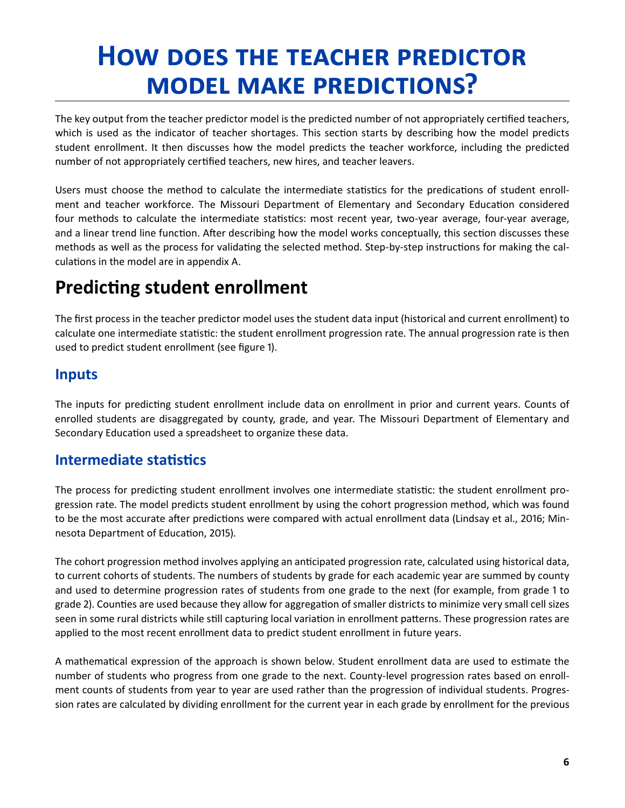# <span id="page-9-0"></span>**How does the teacher predictor model make predictions?**

 The key output from the teacher predictor model is the predicted number of not appropriately certified teachers, which is used as the indicator of teacher shortages. This section starts by describing how the model predicts student enrollment. It then discusses how the model predicts the teacher workforce, including the predicted number of not appropriately certified teachers, new hires, and teacher leavers.

 Users must choose the method to calculate the intermediate statistics for the predications of student enrollment and teacher workforce. The Missouri Department of Elementary and Secondary Education considered four methods to calculate the intermediate statistics: most recent year, two-year average, four-year average, and a linear trend line function. After describing how the model works conceptually, this section discusses these methods as well as the process for validating the selected method. Step-by-step instructions for making the calculations in the model are in appendix A.

## **Predicting student enrollment**

 The first process in the teacher predictor model uses the student data input (historical and current enrollment) to calculate one intermediate statistic: the student enrollment progression rate. The annual progression rate is then used to predict student enrollment (see figure 1) .

### **Inputs**

The inputs for predicting student enrollment include data on enrollment in prior and current years. Counts of enrolled students are disaggregated by county, grade, and year. The Missouri Department of Elementary and Secondary Education used a spreadsheet to organize these data.

### **Intermediate statistics**

 The process for predicting student enrollment involves one intermediate statistic: the student enrollment progression rate. The model predicts student enrollment by using the cohort progression method, which was found to be the most accurate after predictions were compared with actual enrollment data (Lindsay et al., 2016; Min- nesota Department of Education, 2015) .

 The cohort progression method involves applying an anticipated progression rate, calculated using historical data, to current cohorts of students. The numbers of students by grade for each academic year are summed by county and used to determine progression rates of students from one grade to the next (for example, from grade 1 to grade 2). Counties are used because they allow for aggregation of smaller districts to minimize very small cell sizes seen in some rural districts while still capturing local variation in enrollment patterns. These progression rates are applied to the most recent enrollment data to predict student enrollment in future years.

A mathematical expression of the approach is shown below. Student enrollment data are used to estimate the number of students who progress from one grade to the next. County-level progression rates based on enrollment counts of students from year to year are used rather than the progression of individual students. Progres- sion rates are calculated by dividing enrollment for the current year in each grade by enrollment for the previous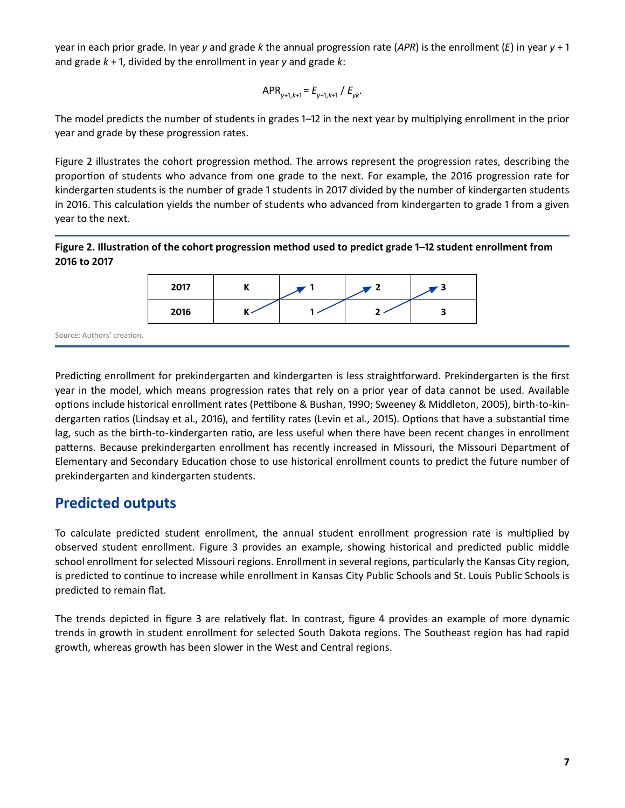<span id="page-10-0"></span> year in each prior grade . In year *y* and grade *k* the annual progression rate (*APR*) is the enrollment (*E*) in year *y* + 1 and grade *k* + 1, divided by the enrollment in year *y* and grade *k*:

$$
APR_{y+1,k+1} = E_{y+1,k+1} / E_{yk}.
$$

 The model predicts the number of students in grades 1–12 in the next year by multiplying enrollment in the prior year and grade by these progression rates.

Figure 2 illustrates the cohort progression method. The arrows represent the progression rates, describing the proportion of students who advance from one grade to the next. For example, the 2016 progression rate for kindergarten students is the number of grade 1 students in 2017 divided by the number of kindergarten students in 2016. This calculation yields the number of students who advanced from kindergarten to grade 1 from a given year to the next.

### **Figure 2. Illustration of the cohort progression method used to predict grade 1–12 student enrollment from 2016 to 2017**



Predicting enrollment for prekindergarten and kindergarten is less straightforward. Prekindergarten is the first year in the model, which means progression rates that rely on a prior year of data cannot be used. Available options include historical enrollment rates (Pettibone & Bushan, 1990; Sweeney & Middleton, 2005), birth-to-kindergarten ratios (Lindsay et al., 2016), and fertility rates (Levin et al., 2015). Options that have a substantial time lag, such as the birth-to-kindergarten ratio, are less useful when there have been recent changes in enrollment patterns. Because prekindergarten enrollment has recently increased in Missouri, the Missouri Department of Elementary and Secondary Education chose to use historical enrollment counts to predict the future number of prekindergarten and kindergarten students.

### **Predicted outputs**

 To calculate predicted student enrollment, the annual student enrollment progression rate is multiplied by observed student enrollment. Figure 3 provides an example, showing historical and predicted public middle school enrollment for selected Missouri regions. Enrollment in several regions, particularly the Kansas City region, is predicted to continue to increase while enrollment in Kansas City Public Schools and St. Louis Public Schools is predicted to remain flat.

The trends depicted in figure 3 are relatively flat. In contrast, figure 4 provides an example of more dynamic trends in growth in student enrollment for selected South Dakota regions. The Southeast region has had rapid growth, whereas growth has been slower in the West and Central regions.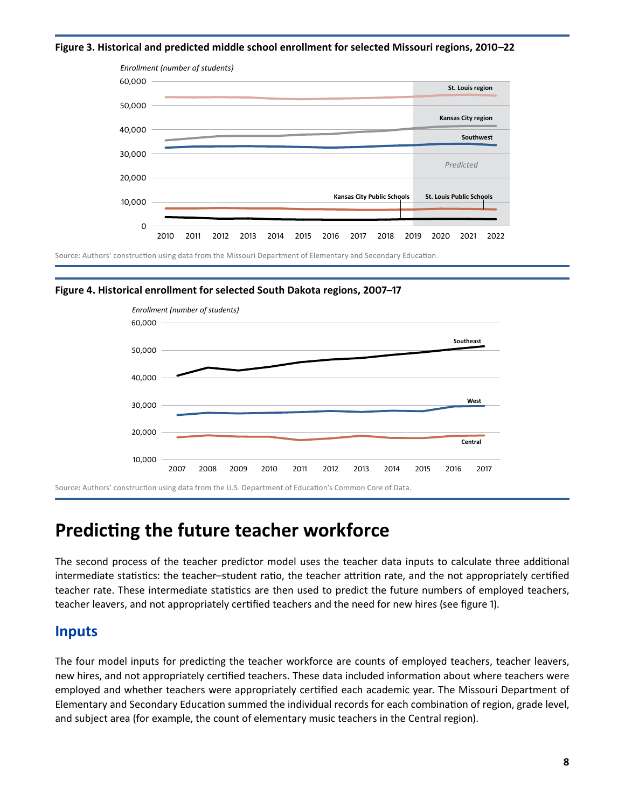<span id="page-11-0"></span>**Figure 3. Historical and predicted middle school enrollment for selected Missouri regions, 2010–22**



 Source: Authors' construction using data from the Missouri Department of Elementary and Secondary Education .





Source: Authors' construction using data from the U.S. Department of Education's Common Core of Data.

## **Predicting the future teacher workforce**

 The second process of the teacher predictor model uses the teacher data inputs to calculate three additional intermediate statistics: the teacher–student ratio, the teacher attrition rate, and the not appropriately certified teacher rate. These intermediate statistics are then used to predict the future numbers of employed teachers, teacher leavers, and not appropriately certified teachers and the need for new hires (see figure 1) .

### **Inputs**

The four model inputs for predicting the teacher workforce are counts of employed teachers, teacher leavers, new hires, and not appropriately certified teachers. These data included information about where teachers were employed and whether teachers were appropriately certified each academic year. The Missouri Department of Elementary and Secondary Education summed the individual records for each combination of region, grade level, and subject area (for example, the count of elementary music teachers in the Central region) .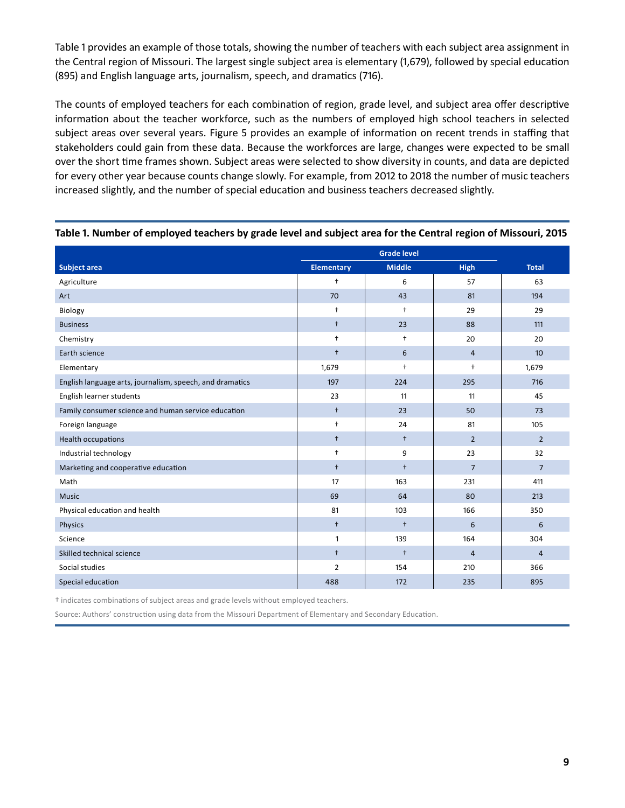<span id="page-12-0"></span> Table 1 provides an example of those totals, showing the number of teachers with each subject area assignment in the Central region of Missouri. The largest single subject area is elementary (1,679), followed by special education (895) and English language arts, journalism, speech, and dramatics (716) .

 The counts of employed teachers for each combination of region, grade level, and subject area offer descriptive information about the teacher workforce, such as the numbers of employed high school teachers in selected subject areas over several years. Figure 5 provides an example of information on recent trends in staffing that stakeholders could gain from these data. Because the workforces are large, changes were expected to be small over the short time frames shown. Subject areas were selected to show diversity in counts, and data are depicted for every other year because counts change slowly. For example, from 2012 to 2018 the number of music teachers increased slightly, and the number of special education and business teachers decreased slightly.

| <b>Subject area</b>                                      | <b>Elementary</b>    | <b>Middle</b> | High           | <b>Total</b>     |
|----------------------------------------------------------|----------------------|---------------|----------------|------------------|
| Agriculture                                              | $\ddot{\phantom{1}}$ | 6             | 57             | 63               |
| Art                                                      | 70                   | 43            | 81             | 194              |
| Biology                                                  | $\ddot{\phantom{1}}$ | $\ddagger$    | 29             | 29               |
| <b>Business</b>                                          | $+$                  | 23            | 88             | 111              |
| Chemistry                                                | $\ddagger$           | $\ddagger$    | 20             | 20               |
| Earth science                                            | $\ddagger$           | 6             | $\overline{4}$ | 10 <sup>10</sup> |
| Elementary                                               | 1,679                | $\ddagger$    | $\ddagger$     | 1,679            |
| English language arts, journalism, speech, and dramatics | 197                  | 224           | 295            | 716              |
| English learner students                                 | 23                   | 11            | 11             | 45               |
| Family consumer science and human service education      | $\ddagger$           | 23            | 50             | 73               |
| Foreign language                                         | $\ddagger$           | 24            | 81             | 105              |
| Health occupations                                       | $\ddagger$           | $\ddagger$    | $\overline{2}$ | $\overline{2}$   |
| Industrial technology                                    | $\ddagger$           | 9             | 23             | 32               |
| Marketing and cooperative education                      | $\ddagger$           | $\ddagger$    | $\overline{7}$ | $\overline{7}$   |
| Math                                                     | 17                   | 163           | 231            | 411              |
| <b>Music</b>                                             | 69                   | 64            | 80             | 213              |
| Physical education and health                            | 81                   | 103           | 166            | 350              |
| Physics                                                  | $\ddagger$           | $\ddagger$    | 6              | 6                |
| Science                                                  | $\mathbf{1}$         | 139           | 164            | 304              |
| Skilled technical science                                | $\ddagger$           | $\ddagger$    | $\overline{4}$ | $\overline{4}$   |
| Social studies                                           | $\overline{2}$       | 154           | 210            | 366              |
| Special education                                        | 488                  | 172           | 235            | 895              |

**Table 1. Number of employed teachers by grade level and subject area for the Central region of Missouri, 2015**

 † indicates combinations of subject areas and grade levels without employed teachers .

Source: Authors' construction using data from the Missouri Department of Elementary and Secondary Education.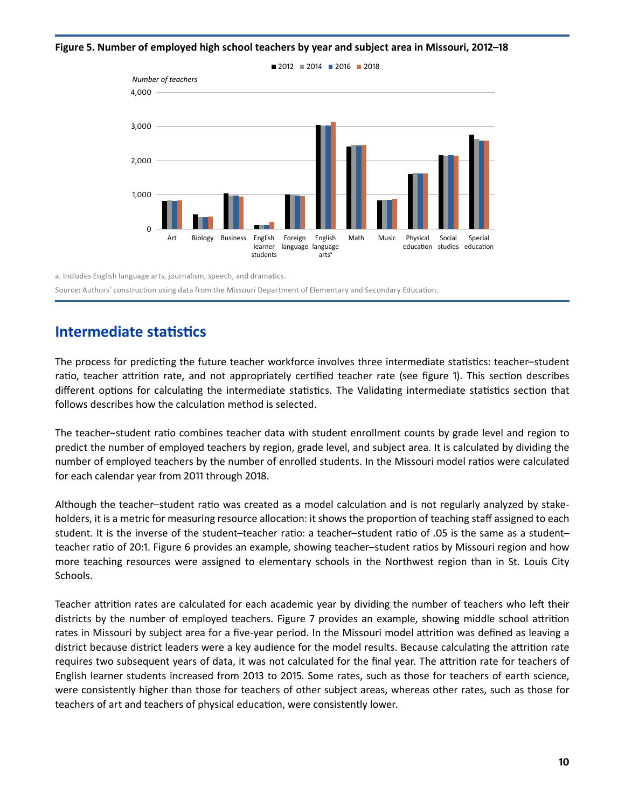<span id="page-13-0"></span>**Figure 5. Number of employed high school teachers by year and subject area in Missouri, 2012–18**



a. Includes English language arts, journalism, speech, and dramatics. Source**:** Authors' construction using data from the Missouri Department of Elementary and Secondary Education .

### **Intermediate statistics**

 The process for predicting the future teacher workforce involves three intermediate statistics: teacher–student ratio, teacher attrition rate, and not appropriately certified teacher rate (see figure 1). This section describes different options for calculating the intermediate statistics. The Validating intermediate statistics section that follows describes how the calculation method is selected.

 The teacher–student ratio combines teacher data with student enrollment counts by grade level and region to predict the number of employed teachers by region, grade level, and subject area. It is calculated by dividing the number of employed teachers by the number of enrolled students. In the Missouri model ratios were calculated for each calendar year from 2011 through 2018 .

 Although the teacher–student ratio was created as a model calculation and is not regularly analyzed by stake- holders, it is a metric for measuring resource allocation: it shows the proportion of teaching staff assigned to each student. It is the inverse of the student–teacher ratio: a teacher–student ratio of .05 is the same as a student– teacher ratio of 20:1. Figure 6 provides an example, showing teacher–student ratios by Missouri region and how more teaching resources were assigned to elementary schools in the Northwest region than in St. Louis City Schools.

 Teacher attrition rates are calculated for each academic year by dividing the number of teachers who left their districts by the number of employed teachers. Figure 7 provides an example, showing middle school attrition rates in Missouri by subject area for a five-year period. In the Missouri model attrition was defined as leaving a district because district leaders were a key audience for the model results. Because calculating the attrition rate requires two subsequent years of data, it was not calculated for the final year. The attrition rate for teachers of English learner students increased from 2013 to 2015. Some rates, such as those for teachers of earth science, were consistently higher than those for teachers of other subject areas, whereas other rates, such as those for teachers of art and teachers of physical education, were consistently lower.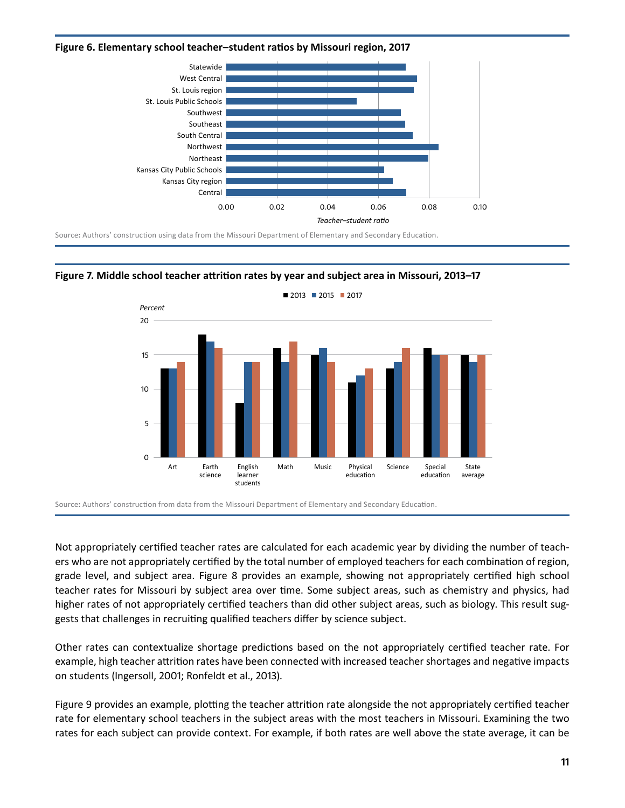#### <span id="page-14-0"></span>**Figure 6. Elementary school teacher–student ratios by Missouri region, 2017**



 Source**:** Authors' construction using data from the Missouri Department of Elementary and Secondary Education .





 Source**:** Authors' construction from data from the Missouri Department of Elementary and Secondary Education .

 Not appropriately certified teacher rates are calculated for each academic year by dividing the number of teach- ers who are not appropriately certified by the total number of employed teachers for each combination of region, grade level, and subject area. Figure 8 provides an example, showing not appropriately certified high school teacher rates for Missouri by subject area over time. Some subject areas, such as chemistry and physics, had higher rates of not appropriately certified teachers than did other subject areas, such as biology. This result suggests that challenges in recruiting qualified teachers differ by science subject.

Other rates can contextualize shortage predictions based on the not appropriately certified teacher rate. For example, high teacher attrition rates have been connected with increased teacher shortages and negative impacts on students (Ingersoll, 2001; Ronfeldt et al., 2013).

 Figure 9 provides an example, plotting the teacher attrition rate alongside the not appropriately certified teacher rate for elementary school teachers in the subject areas with the most teachers in Missouri. Examining the two rates for each subject can provide context. For example, if both rates are well above the state average, it can be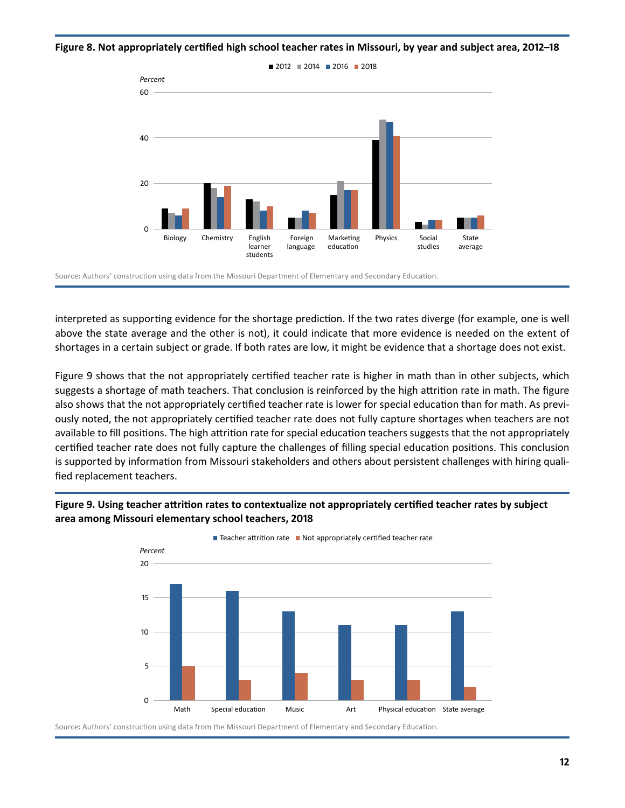<span id="page-15-0"></span>**Figure 8. Not appropriately certified high school teacher rates in Missouri, by year and subject area, 2012–18**



 Source**:** Authors' construction using data from the Missouri Department of Elementary and Secondary Education .

interpreted as supporting evidence for the shortage prediction. If the two rates diverge (for example, one is well above the state average and the other is not), it could indicate that more evidence is needed on the extent of shortages in a certain subject or grade. If both rates are low, it might be evidence that a shortage does not exist.

 Figure 9 shows that the not appropriately certified teacher rate is higher in math than in other subjects, which suggests a shortage of math teachers. That conclusion is reinforced by the high attrition rate in math. The figure also shows that the not appropriately certified teacher rate is lower for special education than for math. As previ- ously noted, the not appropriately certified teacher rate does not fully capture shortages when teachers are not available to fill positions. The high attrition rate for special education teachers suggests that the not appropriately certified teacher rate does not fully capture the challenges of filling special education positions. This conclusion is supported by information from Missouri stakeholders and others about persistent challenges with hiring qualified replacement teachers.



**Figure 9. Using teacher attrition rates to contextualize not appropriately certified teacher rates by subject area among Missouri elementary school teachers, 2018** 

 Source**:** Authors' construction using data from the Missouri Department of Elementary and Secondary Education .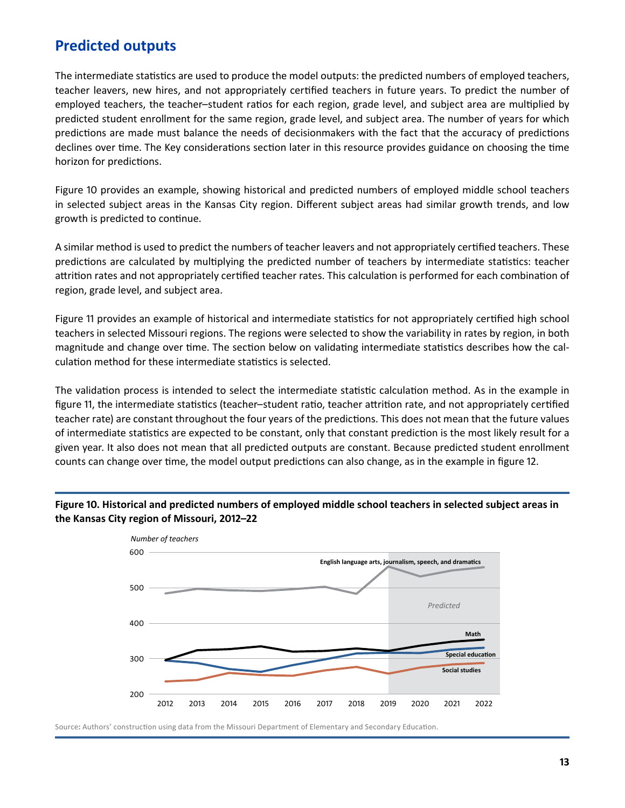### <span id="page-16-0"></span>**Predicted outputs**

 The intermediate statistics are used to produce the model outputs: the predicted numbers of employed teachers, teacher leavers, new hires, and not appropriately certified teachers in future years. To predict the number of employed teachers, the teacher–student ratios for each region, grade level, and subject area are multiplied by predicted student enrollment for the same region, grade level, and subject area. The number of years for which predictions are made must balance the needs of decisionmakers with the fact that the accuracy of predictions declines over time. The Key considerations section later in this resource provides guidance on choosing the time horizon for predictions.

 Figure 10 provides an example, showing historical and predicted numbers of employed middle school teachers in selected subject areas in the Kansas City region. Different subject areas had similar growth trends, and low growth is predicted to continue .

A similar method is used to predict the numbers of teacher leavers and not appropriately certified teachers. These predictions are calculated by multiplying the predicted number of teachers by intermediate statistics: teacher attrition rates and not appropriately certified teacher rates. This calculation is performed for each combination of region, grade level, and subject area.

 Figure 11 provides an example of historical and intermediate statistics for not appropriately certified high school teachers in selected Missouri regions. The regions were selected to show the variability in rates by region, in both magnitude and change over time. The section below on validating intermediate statistics describes how the calculation method for these intermediate statistics is selected.

The validation process is intended to select the intermediate statistic calculation method. As in the example in figure 11, the intermediate statistics (teacher–student ratio, teacher attrition rate, and not appropriately certified teacher rate) are constant throughout the four years of the predictions. This does not mean that the future values of intermediate statistics are expected to be constant, only that constant prediction is the most likely result for a given year. It also does not mean that all predicted outputs are constant. Because predicted student enrollment counts can change over time, the model output predictions can also change, as in the example in figure 12.





 Source**:** Authors' construction using data from the Missouri Department of Elementary and Secondary Education .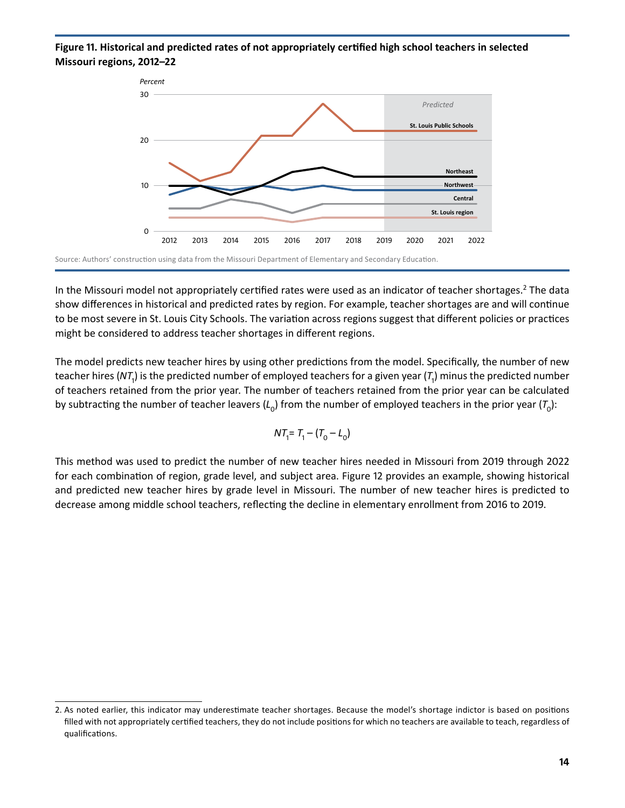#### <span id="page-17-0"></span>**Figure 11. Historical and predicted rates of not appropriately certified high school teachers in selected Missouri regions, 2012–22**



In the Missouri model not appropriately certified rates were used as an indicator of teacher shortages.<sup>2</sup> The data show differences in historical and predicted rates by region. For example, teacher shortages are and will continue to be most severe in St. Louis City Schools. The variation across regions suggest that different policies or practices might be considered to address teacher shortages in different regions .

The model predicts new teacher hires by using other predictions from the model. Specifically, the number of new teacher hires (NT<sub>1</sub>) is the predicted number of employed teachers for a given year (T<sub>1</sub>) minus the predicted number of teachers retained from the prior year. The number of teachers retained from the prior year can be calculated by subtracting the number of teacher leavers ( $L_0$ ) from the number of employed teachers in the prior year ( $T_0$ ):

$$
NT_1 = T_1 - (T_0 - L_0)
$$

 This method was used to predict the number of new teacher hires needed in Missouri from 2019 through 2022 for each combination of region, grade level, and subject area. Figure 12 provides an example, showing historical and predicted new teacher hires by grade level in Missouri. The number of new teacher hires is predicted to decrease among middle school teachers, reflecting the decline in elementary enrollment from 2016 to 2019 .

<sup>2.</sup> As noted earlier, this indicator may underestimate teacher shortages. Because the model's shortage indictor is based on positions filled with not appropriately certified teachers, they do not include positions for which no teachers are available to teach, regardless of qualifications .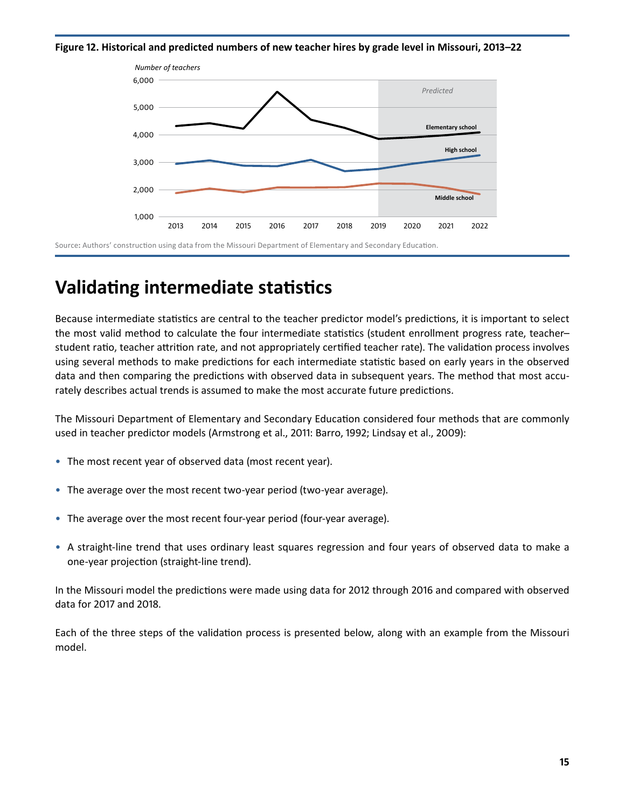<span id="page-18-0"></span>**Figure 12. Historical and predicted numbers of new teacher hires by grade level in Missouri, 2013–22**



## **Validating intermediate statistics**

 Because intermediate statistics are central to the teacher predictor model's predictions, it is important to select the most valid method to calculate the four intermediate statistics (student enrollment progress rate, teacher– student ratio, teacher attrition rate, and not appropriately certified teacher rate). The validation process involves using several methods to make predictions for each intermediate statistic based on early years in the observed data and then comparing the predictions with observed data in subsequent years. The method that most accu- rately describes actual trends is assumed to make the most accurate future predictions .

 The Missouri Department of Elementary and Secondary Education considered four methods that are commonly used in teacher predictor models (Armstrong et al., 2011: Barro, 1992; Lindsay et al., 2009):

- The most recent year of observed data (most recent year) .
- The average over the most recent two-year period (two-year average) .
- The average over the most recent four-year period (four-year average).
- A straight-line trend that uses ordinary least squares regression and four years of observed data to make a one-year projection (straight-line trend).

 In the Missouri model the predictions were made using data for 2012 through 2016 and compared with observed data for 2017 and 2018.

 Each of the three steps of the validation process is presented below, along with an example from the Missouri model.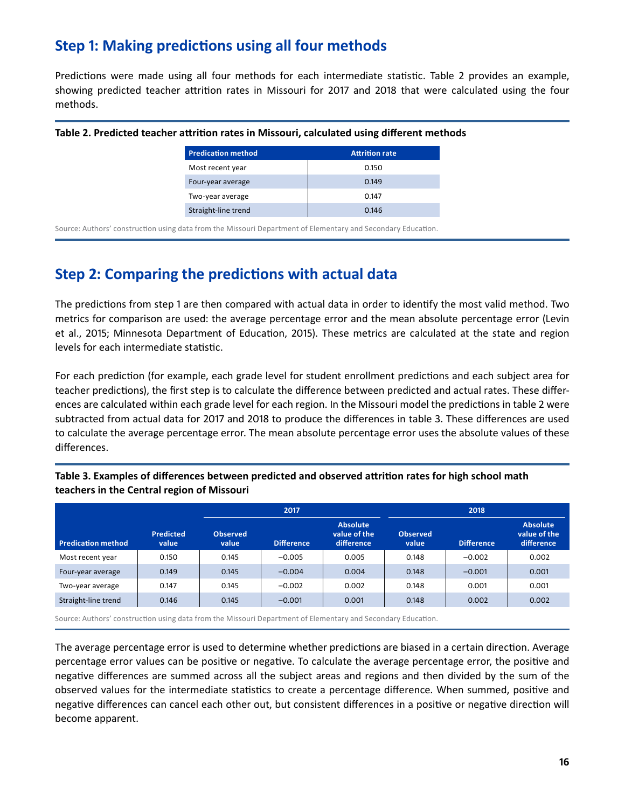### <span id="page-19-0"></span>**Step 1: Making predictions using all four methods**

Predictions were made using all four methods for each intermediate statistic. Table 2 provides an example, showing predicted teacher attrition rates in Missouri for 2017 and 2018 that were calculated using the four methods.

| <b>Predication method</b> | <b>Attrition rate</b> |
|---------------------------|-----------------------|
| Most recent year          | 0.150                 |
| Four-year average         | 0.149                 |
| Two-year average          | 0.147                 |
| Straight-line trend       | 0.146                 |

#### **Table 2. Predicted teacher attrition rates in Missouri, calculated using different methods**

 Source: Authors' construction using data from the Missouri Department of Elementary and Secondary Education .

### **Step 2: Comparing the predictions with actual data**

The predictions from step 1 are then compared with actual data in order to identify the most valid method. Two metrics for comparison are used: the average percentage error and the mean absolute percentage error (Levin et al., 2015; Minnesota Department of Education, 2015). These metrics are calculated at the state and region levels for each intermediate statistic.

 For each prediction (for example, each grade level for student enrollment predictions and each subject area for teacher predictions), the first step is to calculate the difference between predicted and actual rates. These differences are calculated within each grade level for each region. In the Missouri model the predictions in table 2 were subtracted from actual data for 2017 and 2018 to produce the differences in table 3. These differences are used to calculate the average percentage error. The mean absolute percentage error uses the absolute values of these differences.

|                           |                           |                          | 2017              |                                                | 2018                     |                   |                                               |  |
|---------------------------|---------------------------|--------------------------|-------------------|------------------------------------------------|--------------------------|-------------------|-----------------------------------------------|--|
| <b>Predication method</b> | <b>Predicted</b><br>value | <b>Observed</b><br>value | <b>Difference</b> | <b>Absolute</b><br>value of the<br>difference. | <b>Observed</b><br>value | <b>Difference</b> | <b>Absolute</b><br>value of the<br>difference |  |
| Most recent year          | 0.150                     | 0.145                    | $-0.005$          | 0.005                                          | 0.148                    | $-0.002$          | 0.002                                         |  |
| Four-year average         | 0.149                     | 0.145                    | $-0.004$          | 0.004                                          | 0.148                    | $-0.001$          | 0.001                                         |  |
| Two-year average          | 0.147                     | 0.145                    | $-0.002$          | 0.002                                          | 0.148                    | 0.001             | 0.001                                         |  |
| Straight-line trend       | 0.146                     | 0.145                    | $-0.001$          | 0.001                                          | 0.148                    | 0.002             | 0.002                                         |  |

**Table 3. Examples of differences between predicted and observed attrition rates for high school math teachers in the Central region of Missouri** 

 Source: Authors' construction using data from the Missouri Department of Elementary and Secondary Education .

The average percentage error is used to determine whether predictions are biased in a certain direction. Average percentage error values can be positive or negative. To calculate the average percentage error, the positive and negative differences are summed across all the subject areas and regions and then divided by the sum of the observed values for the intermediate statistics to create a percentage difference. When summed, positive and negative differences can cancel each other out, but consistent differences in a positive or negative direction will become apparent.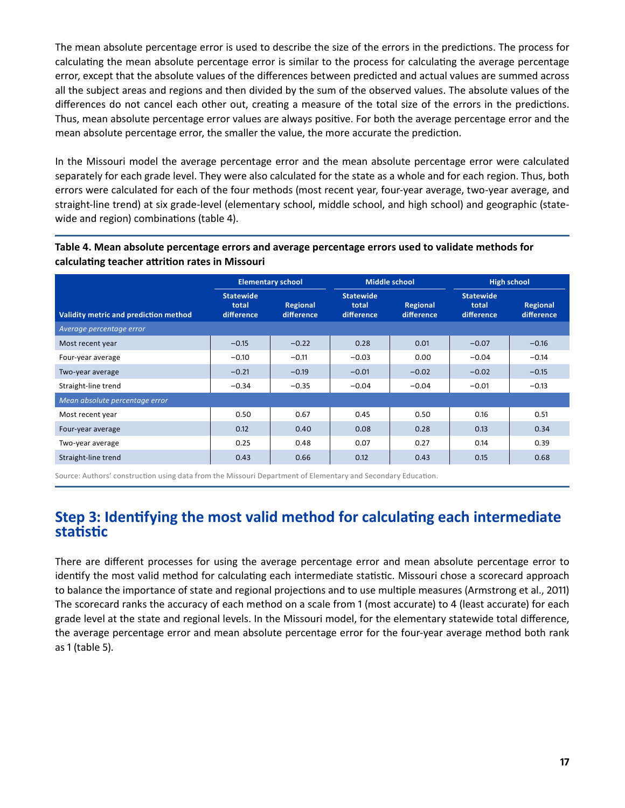<span id="page-20-0"></span>The mean absolute percentage error is used to describe the size of the errors in the predictions. The process for calculating the mean absolute percentage error is similar to the process for calculating the average percentage error, except that the absolute values of the differences between predicted and actual values are summed across all the subject areas and regions and then divided by the sum of the observed values. The absolute values of the differences do not cancel each other out, creating a measure of the total size of the errors in the predictions. Thus, mean absolute percentage error values are always positive. For both the average percentage error and the mean absolute percentage error, the smaller the value, the more accurate the prediction .

 In the Missouri model the average percentage error and the mean absolute percentage error were calculated separately for each grade level. They were also calculated for the state as a whole and for each region. Thus, both errors were calculated for each of the four methods (most recent year, four-year average, two-year average, and straight-line trend) at six grade-level (elementary school, middle school, and high school) and geographic (statewide and region) combinations (table 4).

### **Table 4. Mean absolute percentage errors and average percentage errors used to validate methods for calculating teacher attrition rates in Missouri**

|                                       |                                         | <b>Elementary school</b> | <b>Middle school</b>                    |                        |                                         | <b>High school</b>     |
|---------------------------------------|-----------------------------------------|--------------------------|-----------------------------------------|------------------------|-----------------------------------------|------------------------|
| Validity metric and prediction method | <b>Statewide</b><br>total<br>difference | Regional<br>difference   | <b>Statewide</b><br>total<br>difference | Regional<br>difference | <b>Statewide</b><br>total<br>difference | Regional<br>difference |
| Average percentage error              |                                         |                          |                                         |                        |                                         |                        |
| Most recent year                      | $-0.15$                                 | $-0.22$                  | 0.28                                    | 0.01                   | $-0.07$                                 | $-0.16$                |
| Four-year average                     | $-0.10$                                 | $-0.11$                  | $-0.03$                                 | 0.00                   | $-0.04$                                 | $-0.14$                |
| Two-year average                      | $-0.21$                                 | $-0.19$                  | $-0.01$                                 | $-0.02$                | $-0.02$                                 | $-0.15$                |
| Straight-line trend                   | $-0.34$                                 | $-0.35$                  | $-0.04$                                 | $-0.04$                | $-0.01$                                 | $-0.13$                |
| Mean absolute percentage error        |                                         |                          |                                         |                        |                                         |                        |
| Most recent year                      | 0.50                                    | 0.67                     | 0.45                                    | 0.50                   | 0.16                                    | 0.51                   |
| Four-year average                     | 0.12                                    | 0.40                     | 0.08                                    | 0.28                   | 0.13                                    | 0.34                   |
| Two-year average                      | 0.25                                    | 0.48                     | 0.07                                    | 0.27                   | 0.14                                    | 0.39                   |
| Straight-line trend                   | 0.43                                    | 0.66                     | 0.12                                    | 0.43                   | 0.15                                    | 0.68                   |

 Source: Authors' construction using data from the Missouri Department of Elementary and Secondary Education .

### **Step 3: Identifying the most valid method for calculating each intermediate statistic**

 There are different processes for using the average percentage error and mean absolute percentage error to identify the most valid method for calculating each intermediate statistic. Missouri chose a scorecard approach to balance the importance of state and regional projections and to use multiple measures (Armstrong et al., 2011) The scorecard ranks the accuracy of each method on a scale from 1 (most accurate) to 4 (least accurate) for each grade level at the state and regional levels. In the Missouri model, for the elementary statewide total difference, the average percentage error and mean absolute percentage error for the four-year average method both rank as 1 (table 5).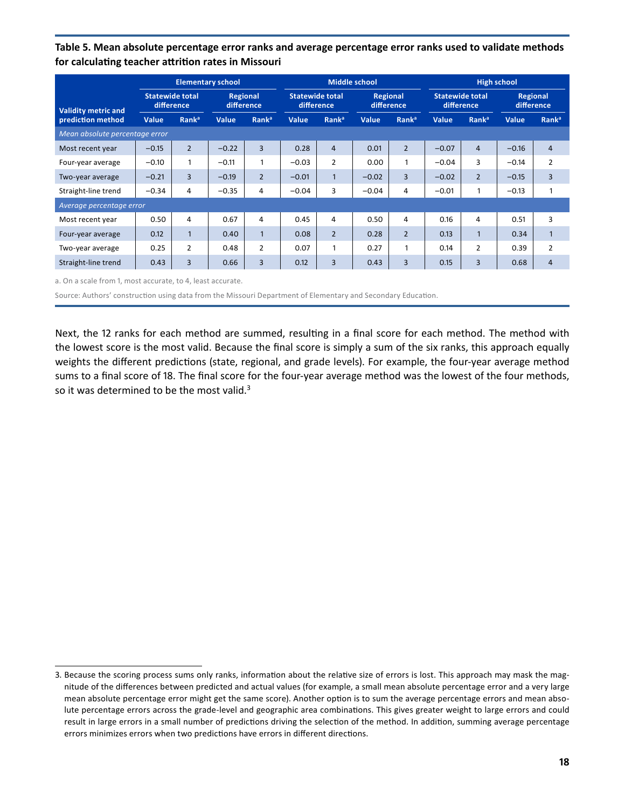<span id="page-21-0"></span>**Table 5. Mean absolute percentage error ranks and average percentage error ranks used to validate methods for calculating teacher attrition rates in Missouri** 

|                                | <b>Elementary school</b>             |                   |                        | <b>Middle school</b> |                                       |                   |                         | <b>High school</b> |                                      |                   |                               |                   |
|--------------------------------|--------------------------------------|-------------------|------------------------|----------------------|---------------------------------------|-------------------|-------------------------|--------------------|--------------------------------------|-------------------|-------------------------------|-------------------|
| <b>Validity metric and</b>     | <b>Statewide total</b><br>difference |                   | Regional<br>difference |                      | <b>Statewide total</b><br>difference, |                   | Regional<br>difference. |                    | <b>Statewide total</b><br>difference |                   | <b>Regional</b><br>difference |                   |
| prediction method              | Value                                | Rank <sup>a</sup> | Value                  | Rank <sup>a</sup>    | Value                                 | Rank <sup>a</sup> | Value                   | Rank <sup>a</sup>  | Value                                | Rank <sup>a</sup> | Value                         | Rank <sup>a</sup> |
| Mean absolute percentage error |                                      |                   |                        |                      |                                       |                   |                         |                    |                                      |                   |                               |                   |
| Most recent year               | $-0.15$                              | $\overline{2}$    | $-0.22$                | $\overline{3}$       | 0.28                                  | $\overline{4}$    | 0.01                    | $\overline{2}$     | $-0.07$                              | $\overline{4}$    | $-0.16$                       | $\overline{4}$    |
| Four-year average              | $-0.10$                              | $\mathbf{1}$      | $-0.11$                | 1                    | $-0.03$                               | $\overline{2}$    | 0.00                    | 1                  | $-0.04$                              | 3                 | $-0.14$                       | 2                 |
| Two-year average               | $-0.21$                              | $\overline{3}$    | $-0.19$                | $\overline{2}$       | $-0.01$                               | $\mathbf{1}$      | $-0.02$                 | $\overline{3}$     | $-0.02$                              | $\overline{2}$    | $-0.15$                       | 3                 |
| Straight-line trend            | $-0.34$                              | 4                 | $-0.35$                | 4                    | $-0.04$                               | 3                 | $-0.04$                 | 4                  | $-0.01$                              | 1                 | $-0.13$                       |                   |
| Average percentage error       |                                      |                   |                        |                      |                                       |                   |                         |                    |                                      |                   |                               |                   |
| Most recent year               | 0.50                                 | 4                 | 0.67                   | 4                    | 0.45                                  | $\overline{4}$    | 0.50                    | 4                  | 0.16                                 | $\overline{4}$    | 0.51                          | 3                 |
| Four-year average              | 0.12                                 | $\mathbf{1}$      | 0.40                   | $\mathbf{1}$         | 0.08                                  | $\overline{2}$    | 0.28                    | $\overline{2}$     | 0.13                                 | $\mathbf{1}$      | 0.34                          | $\mathbf{1}$      |
| Two-year average               | 0.25                                 | $\overline{2}$    | 0.48                   | $\overline{2}$       | 0.07                                  | 1                 | 0.27                    | $\mathbf{1}$       | 0.14                                 | $\overline{2}$    | 0.39                          | 2                 |
| Straight-line trend            | 0.43                                 | 3                 | 0.66                   | 3                    | 0.12                                  | 3                 | 0.43                    | 3                  | 0.15                                 | 3                 | 0.68                          | 4                 |

a. On a scale from 1, most accurate, to 4, least accurate.

Source: Authors' construction using data from the Missouri Department of Elementary and Secondary Education.

Next, the 12 ranks for each method are summed, resulting in a final score for each method. The method with the lowest score is the most valid. Because the final score is simply a sum of the six ranks, this approach equally weights the different predictions (state, regional, and grade levels). For example, the four-year average method sums to a final score of 18. The final score for the four-year average method was the lowest of the four methods, so it was determined to be the most valid.<sup>3</sup>

<sup>3.</sup> Because the scoring process sums only ranks, information about the relative size of errors is lost. This approach may mask the mag- nitude of the differences between predicted and actual values (for example, a small mean absolute percentage error and a very large mean absolute percentage error might get the same score). Another option is to sum the average percentage errors and mean absolute percentage errors across the grade-level and geographic area combinations. This gives greater weight to large errors and could result in large errors in a small number of predictions driving the selection of the method. In addition, summing average percentage errors minimizes errors when two predictions have errors in different directions .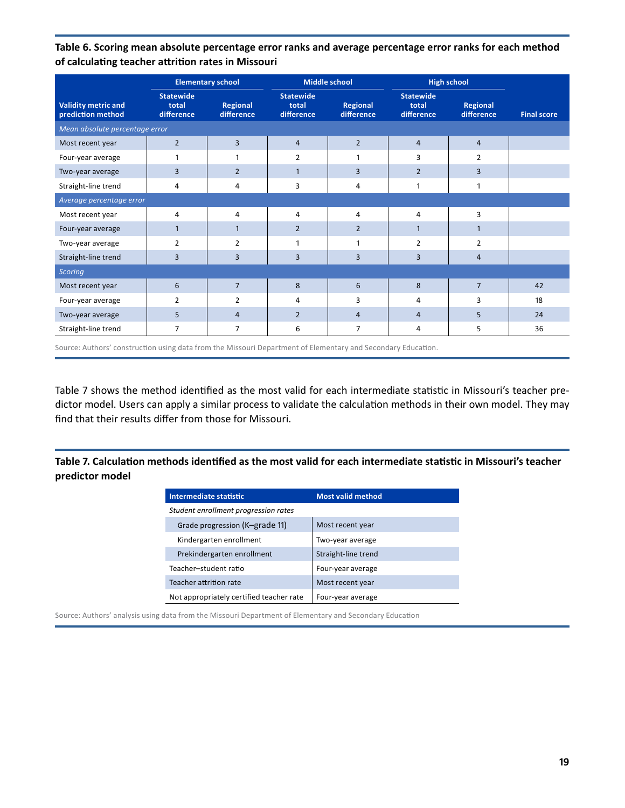<span id="page-22-0"></span>**Table 6. Scoring mean absolute percentage error ranks and average percentage error ranks for each method of calculating teacher attrition rates in Missouri** 

|                                                 |                                         | <b>Elementary school</b>      |                                         | <b>Middle school</b>   | <b>High school</b>                      |                        |                    |
|-------------------------------------------------|-----------------------------------------|-------------------------------|-----------------------------------------|------------------------|-----------------------------------------|------------------------|--------------------|
| <b>Validity metric and</b><br>prediction method | <b>Statewide</b><br>total<br>difference | <b>Regional</b><br>difference | <b>Statewide</b><br>total<br>difference | Regional<br>difference | <b>Statewide</b><br>total<br>difference | Regional<br>difference | <b>Final score</b> |
| Mean absolute percentage error                  |                                         |                               |                                         |                        |                                         |                        |                    |
| Most recent year                                | $\overline{2}$                          | $\overline{3}$                | $\overline{4}$                          | $\overline{2}$         | $\overline{4}$                          | $\overline{4}$         |                    |
| Four-year average                               | $\mathbf{1}$                            | 1                             | $\overline{2}$                          | 1                      | 3                                       | $\overline{2}$         |                    |
| Two-year average                                | 3                                       | $\overline{2}$                | $\mathbf{1}$                            | 3                      | $\overline{2}$                          | 3                      |                    |
| Straight-line trend                             | 4                                       | $\overline{4}$                | 3                                       | 4                      | 1                                       | $\mathbf{1}$           |                    |
| Average percentage error                        |                                         |                               |                                         |                        |                                         |                        |                    |
| Most recent year                                | $\overline{4}$                          | $\overline{4}$                | $\overline{4}$                          | 4                      | 4                                       | 3                      |                    |
| Four-year average                               | $\mathbf{1}$                            | $\mathbf{1}$                  | $\overline{2}$                          | $\overline{2}$         | 1                                       | $\mathbf{1}$           |                    |
| Two-year average                                | $\overline{2}$                          | $\overline{2}$                | 1                                       | 1                      | $\overline{2}$                          | $\overline{2}$         |                    |
| Straight-line trend                             | $\overline{3}$                          | $\overline{3}$                | 3                                       | 3                      | $\overline{3}$                          | $\overline{4}$         |                    |
| <b>Scoring</b>                                  |                                         |                               |                                         |                        |                                         |                        |                    |
| Most recent year                                | 6                                       | $\overline{7}$                | 8                                       | 6                      | 8                                       | $\overline{7}$         | 42                 |
| Four-year average                               | $\overline{2}$                          | $\overline{2}$                | 4                                       | 3                      | 4                                       | 3                      | 18                 |
| Two-year average                                | 5                                       | $\overline{4}$                | $\overline{2}$                          | $\overline{4}$         | $\overline{4}$                          | 5                      | 24                 |
| Straight-line trend                             | $\overline{7}$                          | 7                             | 6                                       | 7                      | 4                                       | 5                      | 36                 |

 Source: Authors' construction using data from the Missouri Department of Elementary and Secondary Education .

 Table 7 shows the method identified as the most valid for each intermediate statistic in Missouri's teacher predictor model. Users can apply a similar process to validate the calculation methods in their own model. They may find that their results differ from those for Missouri.

**Table 7. Calculation methods identified as the most valid for each intermediate statistic in Missouri's teacher predictor model** 

| Intermediate statistic                   | <b>Most valid method</b> |
|------------------------------------------|--------------------------|
| Student enrollment progression rates     |                          |
| Grade progression (K-grade 11)           | Most recent year         |
| Kindergarten enrollment                  | Two-year average         |
| Prekindergarten enrollment               | Straight-line trend      |
| Teacher-student ratio                    | Four-year average        |
| Teacher attrition rate                   | Most recent year         |
| Not appropriately certified teacher rate | Four-year average        |

 Source: Authors' analysis using data from the Missouri Department of Elementary and Secondary Education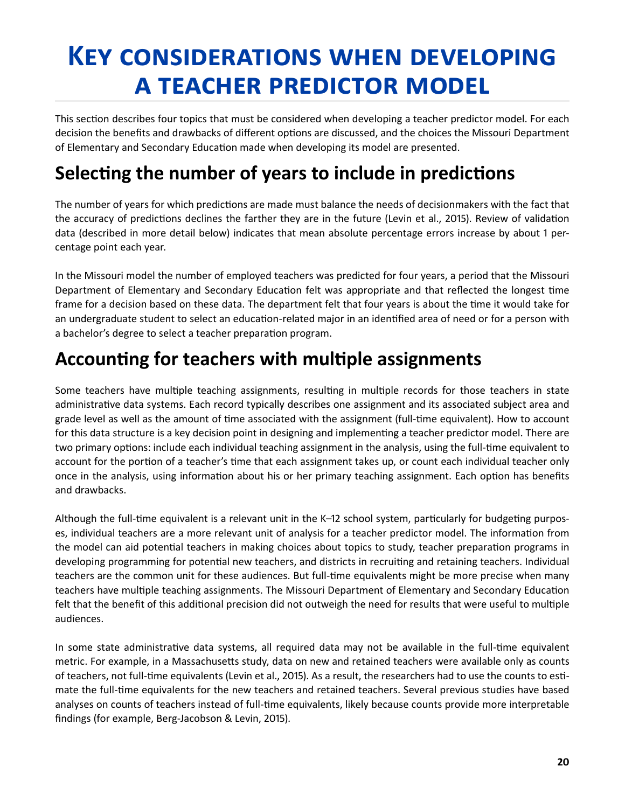# <span id="page-23-0"></span>**Key considerations when developing a teacher predictor model**

This section describes four topics that must be considered when developing a teacher predictor model. For each decision the benefits and drawbacks of different options are discussed, and the choices the Missouri Department of Elementary and Secondary Education made when developing its model are presented.

## **Selecting the number of years to include in predictions**

 The number of years for which predictions are made must balance the needs of decisionmakers with the fact that the accuracy of predictions declines the farther they are in the future (Levin et al., 2015). Review of validation data (described in more detail below) indicates that mean absolute percentage errors increase by about 1 percentage point each year.

 In the Missouri model the number of employed teachers was predicted for four years, a period that the Missouri Department of Elementary and Secondary Education felt was appropriate and that reflected the longest time frame for a decision based on these data. The department felt that four years is about the time it would take for an undergraduate student to select an education-related major in an identified area of need or for a person with a bachelor's degree to select a teacher preparation program.

## **Accounting for teachers with multiple assignments**

 Some teachers have multiple teaching assignments, resulting in multiple records for those teachers in state administrative data systems. Each record typically describes one assignment and its associated subject area and grade level as well as the amount of time associated with the assignment (full-time equivalent). How to account for this data structure is a key decision point in designing and implementing a teacher predictor model. There are two primary options: include each individual teaching assignment in the analysis, using the full-time equivalent to account for the portion of a teacher's time that each assignment takes up, or count each individual teacher only once in the analysis, using information about his or her primary teaching assignment. Each option has benefits and drawbacks.

 Although the full-time equivalent is a relevant unit in the K–12 school system, particularly for budgeting purposes, individual teachers are a more relevant unit of analysis for a teacher predictor model. The information from the model can aid potential teachers in making choices about topics to study, teacher preparation programs in developing programming for potential new teachers, and districts in recruiting and retaining teachers. Individual teachers are the common unit for these audiences. But full-time equivalents might be more precise when many teachers have multiple teaching assignments. The Missouri Department of Elementary and Secondary Education felt that the benefit of this additional precision did not outweigh the need for results that were useful to multiple audiences .

 In some state administrative data systems, all required data may not be available in the full-time equivalent metric. For example, in a Massachusetts study, data on new and retained teachers were available only as counts of teachers, not full-time equivalents (Levin et al., 2015). As a result, the researchers had to use the counts to estimate the full-time equivalents for the new teachers and retained teachers. Several previous studies have based analyses on counts of teachers instead of full-time equivalents, likely because counts provide more interpretable findings (for example, Berg-Jacobson & Levin, 2015) .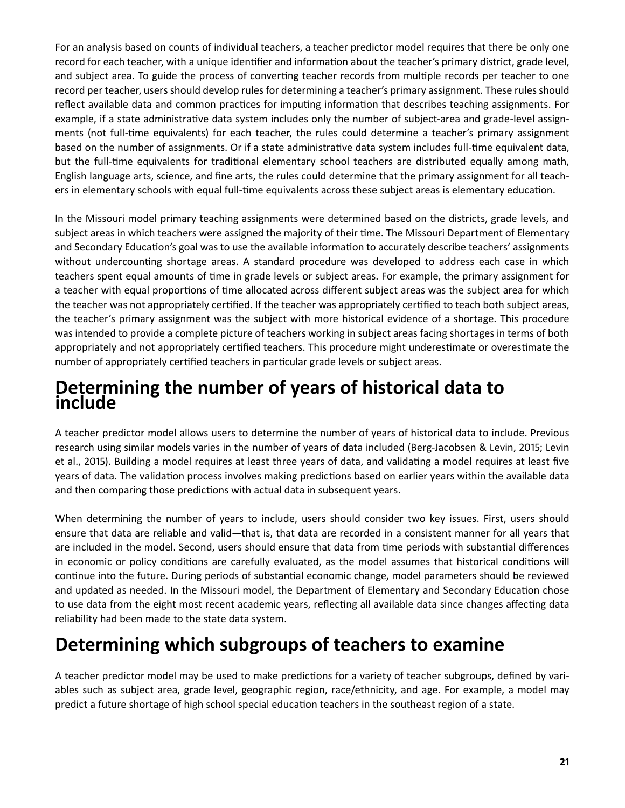<span id="page-24-0"></span> For an analysis based on counts of individual teachers, a teacher predictor model requires that there be only one record for each teacher, with a unique identifier and information about the teacher's primary district, grade level, and subject area. To guide the process of converting teacher records from multiple records per teacher to one record per teacher, users should develop rules for determining a teacher's primary assignment. These rules should reflect available data and common practices for imputing information that describes teaching assignments. For example, if a state administrative data system includes only the number of subject-area and grade-level assign- ments (not full-time equivalents) for each teacher, the rules could determine a teacher's primary assignment based on the number of assignments. Or if a state administrative data system includes full-time equivalent data, but the full-time equivalents for traditional elementary school teachers are distributed equally among math, English language arts, science, and fine arts, the rules could determine that the primary assignment for all teachers in elementary schools with equal full-time equivalents across these subject areas is elementary education.

 In the Missouri model primary teaching assignments were determined based on the districts, grade levels, and subject areas in which teachers were assigned the majority of their time. The Missouri Department of Elementary and Secondary Education's goal was to use the available information to accurately describe teachers' assignments without undercounting shortage areas. A standard procedure was developed to address each case in which teachers spent equal amounts of time in grade levels or subject areas. For example, the primary assignment for a teacher with equal proportions of time allocated across different subject areas was the subject area for which the teacher was not appropriately certified. If the teacher was appropriately certified to teach both subject areas, the teacher's primary assignment was the subject with more historical evidence of a shortage. This procedure was intended to provide a complete picture of teachers working in subject areas facing shortages in terms of both appropriately and not appropriately certified teachers. This procedure might underestimate or overestimate the number of appropriately certified teachers in particular grade levels or subject areas .

### **Determining the number of years of historical data to include**

A teacher predictor model allows users to determine the number of years of historical data to include. Previous research using similar models varies in the number of years of data included (Berg-Jacobsen & Levin, 2015; Levin et al., 2015). Building a model requires at least three years of data, and validating a model requires at least five years of data. The validation process involves making predictions based on earlier years within the available data and then comparing those predictions with actual data in subsequent years.

When determining the number of years to include, users should consider two key issues. First, users should ensure that data are reliable and valid—that is, that data are recorded in a consistent manner for all years that are included in the model. Second, users should ensure that data from time periods with substantial differences in economic or policy conditions are carefully evaluated, as the model assumes that historical conditions will continue into the future. During periods of substantial economic change, model parameters should be reviewed and updated as needed. In the Missouri model, the Department of Elementary and Secondary Education chose to use data from the eight most recent academic years, reflecting all available data since changes affecting data reliability had been made to the state data system.

## **Determining which subgroups of teachers to examine**

 A teacher predictor model may be used to make predictions for a variety of teacher subgroups, defined by variables such as subject area, grade level, geographic region, race/ethnicity, and age. For example, a model may predict a future shortage of high school special education teachers in the southeast region of a state.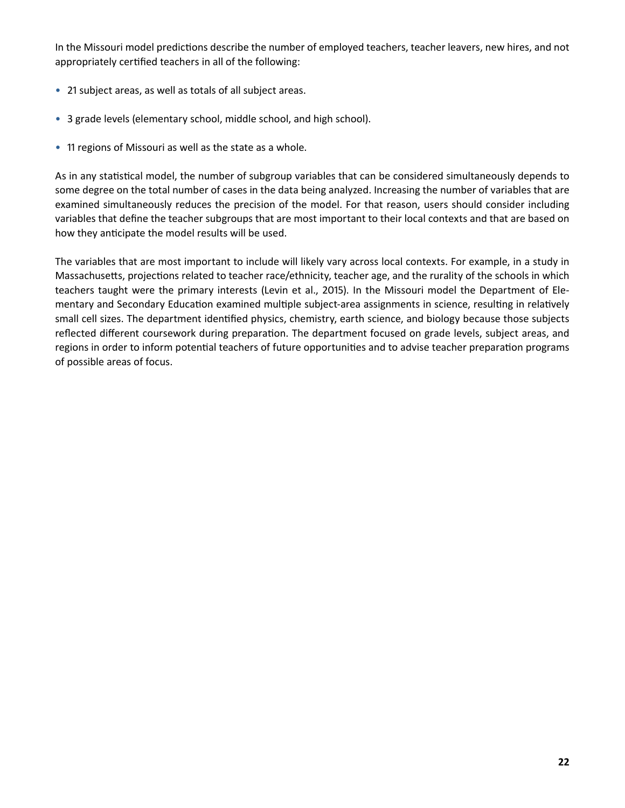In the Missouri model predictions describe the number of employed teachers, teacher leavers, new hires, and not appropriately certified teachers in all of the following:

- 21 subject areas, as well as totals of all subject areas.
- 3 grade levels (elementary school, middle school, and high school) .
- 11 regions of Missouri as well as the state as a whole.

 As in any statistical model, the number of subgroup variables that can be considered simultaneously depends to some degree on the total number of cases in the data being analyzed. Increasing the number of variables that are examined simultaneously reduces the precision of the model. For that reason, users should consider including variables that define the teacher subgroups that are most important to their local contexts and that are based on how they anticipate the model results will be used.

The variables that are most important to include will likely vary across local contexts. For example, in a study in Massachusetts, projections related to teacher race/ethnicity, teacher age, and the rurality of the schools in which teachers taught were the primary interests (Levin et al., 2015). In the Missouri model the Department of Ele- mentary and Secondary Education examined multiple subject-area assignments in science, resulting in relatively small cell sizes. The department identified physics, chemistry, earth science, and biology because those subjects reflected different coursework during preparation. The department focused on grade levels, subject areas, and regions in order to inform potential teachers of future opportunities and to advise teacher preparation programs of possible areas of focus.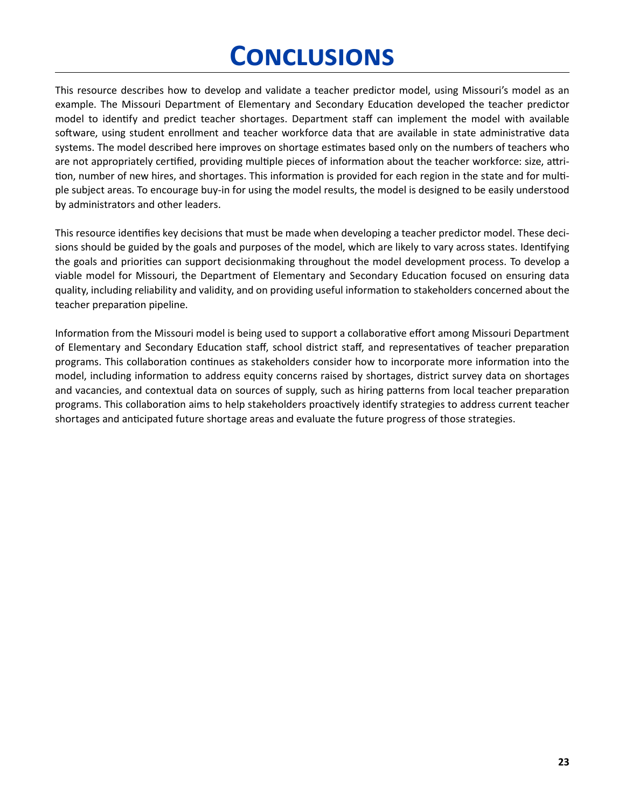# **Conclusions**

<span id="page-26-0"></span> This resource describes how to develop and validate a teacher predictor model, using Missouri's model as an example. The Missouri Department of Elementary and Secondary Education developed the teacher predictor model to identify and predict teacher shortages. Department staff can implement the model with available software, using student enrollment and teacher workforce data that are available in state administrative data systems. The model described here improves on shortage estimates based only on the numbers of teachers who are not appropriately certified, providing multiple pieces of information about the teacher workforce: size, attrition, number of new hires, and shortages. This information is provided for each region in the state and for multiple subject areas. To encourage buy-in for using the model results, the model is designed to be easily understood by administrators and other leaders.

This resource identifies key decisions that must be made when developing a teacher predictor model. These decisions should be guided by the goals and purposes of the model, which are likely to vary across states. Identifying the goals and priorities can support decisionmaking throughout the model development process. To develop a viable model for Missouri, the Department of Elementary and Secondary Education focused on ensuring data quality, including reliability and validity, and on providing useful information to stakeholders concerned about the teacher preparation pipeline.

 Information from the Missouri model is being used to support a collaborative effort among Missouri Department of Elementary and Secondary Education staff, school district staff, and representatives of teacher preparation programs. This collaboration continues as stakeholders consider how to incorporate more information into the model, including information to address equity concerns raised by shortages, district survey data on shortages and vacancies, and contextual data on sources of supply, such as hiring patterns from local teacher preparation programs. This collaboration aims to help stakeholders proactively identify strategies to address current teacher shortages and anticipated future shortage areas and evaluate the future progress of those strategies .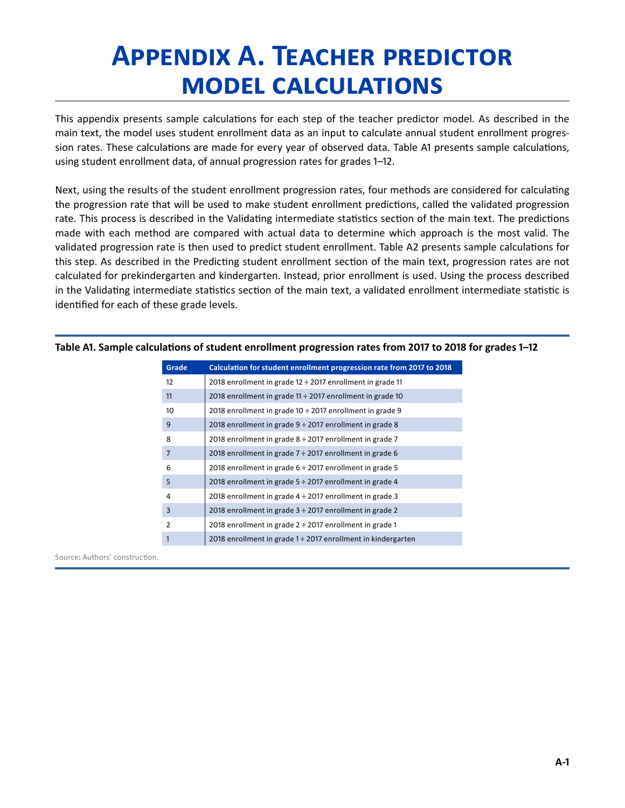# <span id="page-27-0"></span>**Appendix A. Teacher predictor model calculations**

This appendix presents sample calculations for each step of the teacher predictor model. As described in the main text, the model uses student enrollment data as an input to calculate annual student enrollment progression rates. These calculations are made for every year of observed data. Table A1 presents sample calculations, using student enrollment data, of annual progression rates for grades 1–12 .

 Next, using the results of the student enrollment progression rates, four methods are considered for calculating the progression rate that will be used to make student enrollment predictions, called the validated progression rate. This process is described in the Validating intermediate statistics section of the main text. The predictions made with each method are compared with actual data to determine which approach is the most valid. The validated progression rate is then used to predict student enrollment. Table A2 presents sample calculations for this step. As described in the Predicting student enrollment section of the main text, progression rates are not calculated for prekindergarten and kindergarten. Instead, prior enrollment is used. Using the process described in the Validating intermediate statistics section of the main text, a validated enrollment intermediate statistic is identified for each of these grade levels.

| Grade          | Calculation for student enrollment progression rate from 2017 to 2018 |
|----------------|-----------------------------------------------------------------------|
| 12             | 2018 enrollment in grade $12 \div 2017$ enrollment in grade 11        |
| 11             | 2018 enrollment in grade $11 \div 2017$ enrollment in grade 10        |
| 10             | 2018 enrollment in grade 10 ÷ 2017 enrollment in grade 9              |
| 9              | 2018 enrollment in grade $9 \div 2017$ enrollment in grade 8          |
| 8              | 2018 enrollment in grade $8 \div 2017$ enrollment in grade 7          |
| $\overline{7}$ | 2018 enrollment in grade $7 \div 2017$ enrollment in grade 6          |
| 6              | 2018 enrollment in grade $6 \div 2017$ enrollment in grade 5          |
| 5              | 2018 enrollment in grade $5 \div 2017$ enrollment in grade 4          |
| 4              | 2018 enrollment in grade $4 \div 2017$ enrollment in grade 3          |
| $\overline{3}$ | 2018 enrollment in grade 3 ÷ 2017 enrollment in grade 2               |
| $\overline{2}$ | 2018 enrollment in grade $2 \div 2017$ enrollment in grade 1          |
| $\mathbf{1}$   | 2018 enrollment in grade 1 ÷ 2017 enrollment in kindergarten          |

**Table A1. Sample calculations of student enrollment progression rates from 2017 to 2018 for grades 1–12**

Source**:** Authors' construction .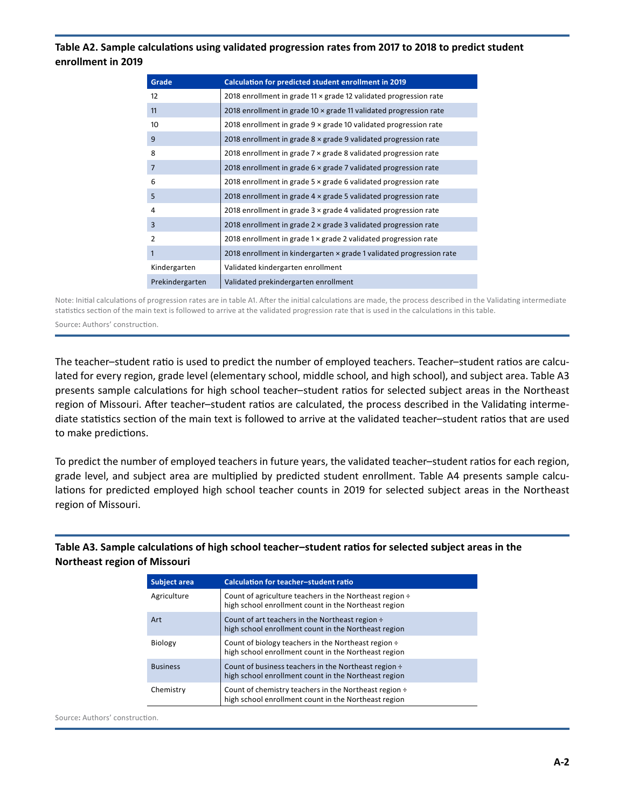#### <span id="page-28-0"></span>**Table A2. Sample calculations using validated progression rates from 2017 to 2018 to predict student enrollment in 2019**

| Grade           | Calculation for predicted student enrollment in 2019                   |
|-----------------|------------------------------------------------------------------------|
| 12              | 2018 enrollment in grade 11 x grade 12 validated progression rate      |
| 11              | 2018 enrollment in grade 10 x grade 11 validated progression rate      |
| 10              | 2018 enrollment in grade 9 x grade 10 validated progression rate       |
| 9               | 2018 enrollment in grade $8 \times$ grade 9 validated progression rate |
| 8               | 2018 enrollment in grade 7 x grade 8 validated progression rate        |
| $\overline{7}$  | 2018 enrollment in grade 6 x grade 7 validated progression rate        |
| 6               | 2018 enrollment in grade $5 \times$ grade 6 validated progression rate |
| 5               | 2018 enrollment in grade 4 x grade 5 validated progression rate        |
| $\overline{4}$  | 2018 enrollment in grade $3 \times$ grade 4 validated progression rate |
| $\overline{3}$  | 2018 enrollment in grade $2 \times$ grade 3 validated progression rate |
| $\overline{2}$  | 2018 enrollment in grade 1 x grade 2 validated progression rate        |
| $\mathbf{1}$    | 2018 enrollment in kindergarten × grade 1 validated progression rate   |
| Kindergarten    | Validated kindergarten enrollment                                      |
| Prekindergarten | Validated prekindergarten enrollment                                   |

Note: Initial calculations of progression rates are in table A1. After the initial calculations are made, the process described in the Validating intermediate statistics section of the main text is followed to arrive at the validated progression rate that is used in the calculations in this table .

Source**:** Authors' construction .

The teacher–student ratio is used to predict the number of employed teachers. Teacher–student ratios are calculated for every region, grade level (elementary school, middle school, and high school), and subject area. Table A3 presents sample calculations for high school teacher–student ratios for selected subject areas in the Northeast region of Missouri. After teacher-student ratios are calculated, the process described in the Validating interme- diate statistics section of the main text is followed to arrive at the validated teacher–student ratios that are used to make predictions.

 To predict the number of employed teachers in future years, the validated teacher–student ratios for each region, grade level, and subject area are multiplied by predicted student enrollment. Table A4 presents sample calcu- lations for predicted employed high school teacher counts in 2019 for selected subject areas in the Northeast region of Missouri.

**Table A3. Sample calculations of high school teacher–student ratios for selected subject areas in the Northeast region of Missouri** 

| Subject area    | <b>Calculation for teacher-student ratio</b>                                                                      |
|-----------------|-------------------------------------------------------------------------------------------------------------------|
| Agriculture     | Count of agriculture teachers in the Northeast region ÷<br>high school enrollment count in the Northeast region   |
| Art             | Count of art teachers in the Northeast region ÷<br>high school enrollment count in the Northeast region           |
| Biology         | Count of biology teachers in the Northeast region ÷<br>high school enrollment count in the Northeast region       |
| <b>Business</b> | Count of business teachers in the Northeast region $\div$<br>high school enrollment count in the Northeast region |
| Chemistry       | Count of chemistry teachers in the Northeast region ÷<br>high school enrollment count in the Northeast region     |

Source**:** Authors' construction .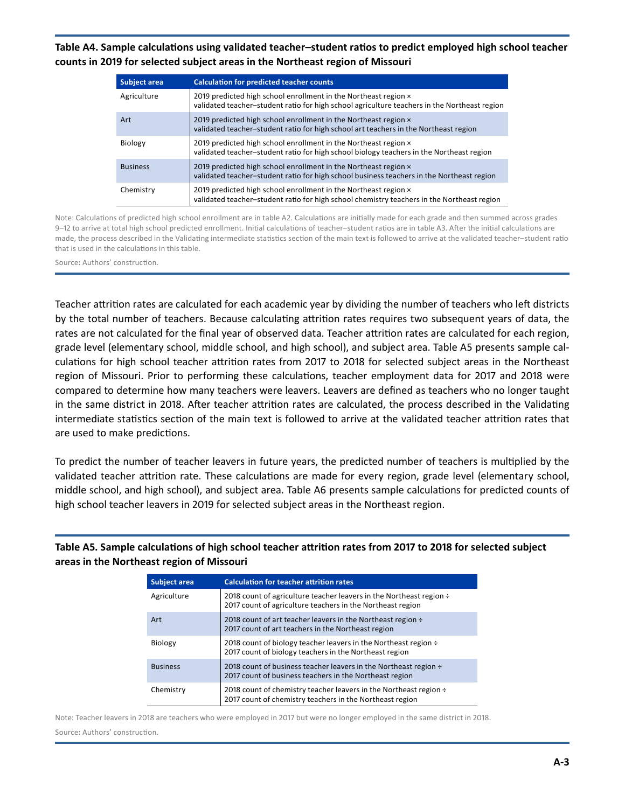<span id="page-29-0"></span>**Table A4. Sample calculations using validated teacher–student ratios to predict employed high school teacher counts in 2019 for selected subject areas in the Northeast region of Missouri** 

| <b>Subject area</b> | <b>Calculation for predicted teacher counts</b>                                                                                                                 |
|---------------------|-----------------------------------------------------------------------------------------------------------------------------------------------------------------|
| Agriculture         | 2019 predicted high school enrollment in the Northeast region x<br>validated teacher-student ratio for high school agriculture teachers in the Northeast region |
| Art                 | 2019 predicted high school enrollment in the Northeast region $\times$<br>validated teacher-student ratio for high school art teachers in the Northeast region  |
| Biology             | 2019 predicted high school enrollment in the Northeast region x<br>validated teacher-student ratio for high school biology teachers in the Northeast region     |
| <b>Business</b>     | 2019 predicted high school enrollment in the Northeast region x<br>validated teacher-student ratio for high school business teachers in the Northeast region    |
| Chemistry           | 2019 predicted high school enrollment in the Northeast region x<br>validated teacher-student ratio for high school chemistry teachers in the Northeast region   |

Note: Calculations of predicted high school enrollment are in table A2. Calculations are initially made for each grade and then summed across grades 9–12 to arrive at total high school predicted enrollment. Initial calculations of teacher–student ratios are in table A3. After the initial calculations are made, the process described in the Validating intermediate statistics section of the main text is followed to arrive at the validated teacher–student ratio that is used in the calculations in this table.

Source**:** Authors' construction .

 Teacher attrition rates are calculated for each academic year by dividing the number of teachers who left districts by the total number of teachers. Because calculating attrition rates requires two subsequent years of data, the rates are not calculated for the final year of observed data. Teacher attrition rates are calculated for each region, grade level (elementary school, middle school, and high school), and subject area. Table A5 presents sample cal- culations for high school teacher attrition rates from 2017 to 2018 for selected subject areas in the Northeast region of Missouri. Prior to performing these calculations, teacher employment data for 2017 and 2018 were compared to determine how many teachers were leavers. Leavers are defined as teachers who no longer taught in the same district in 2018. After teacher attrition rates are calculated, the process described in the Validating intermediate statistics section of the main text is followed to arrive at the validated teacher attrition rates that are used to make predictions.

 To predict the number of teacher leavers in future years, the predicted number of teachers is multiplied by the validated teacher attrition rate. These calculations are made for every region, grade level (elementary school, middle school, and high school), and subject area. Table A6 presents sample calculations for predicted counts of high school teacher leavers in 2019 for selected subject areas in the Northeast region.

**Table A5. Sample calculations of high school teacher attrition rates from 2017 to 2018 for selected subject areas in the Northeast region of Missouri** 

| Subject area    | <b>Calculation for teacher attrition rates</b>                                                                                    |
|-----------------|-----------------------------------------------------------------------------------------------------------------------------------|
| Agriculture     | 2018 count of agriculture teacher leavers in the Northeast region ÷<br>2017 count of agriculture teachers in the Northeast region |
| Art             | 2018 count of art teacher leavers in the Northeast region $\div$<br>2017 count of art teachers in the Northeast region            |
| Biology         | 2018 count of biology teacher leavers in the Northeast region $\div$<br>2017 count of biology teachers in the Northeast region    |
| <b>Business</b> | 2018 count of business teacher leavers in the Northeast region $\div$<br>2017 count of business teachers in the Northeast region  |
| Chemistry       | 2018 count of chemistry teacher leavers in the Northeast region ÷<br>2017 count of chemistry teachers in the Northeast region     |

 Note: Teacher leavers in 2018 are teachers who were employed in 2017 but were no longer employed in the same district in 2018 . Source**:** Authors' construction .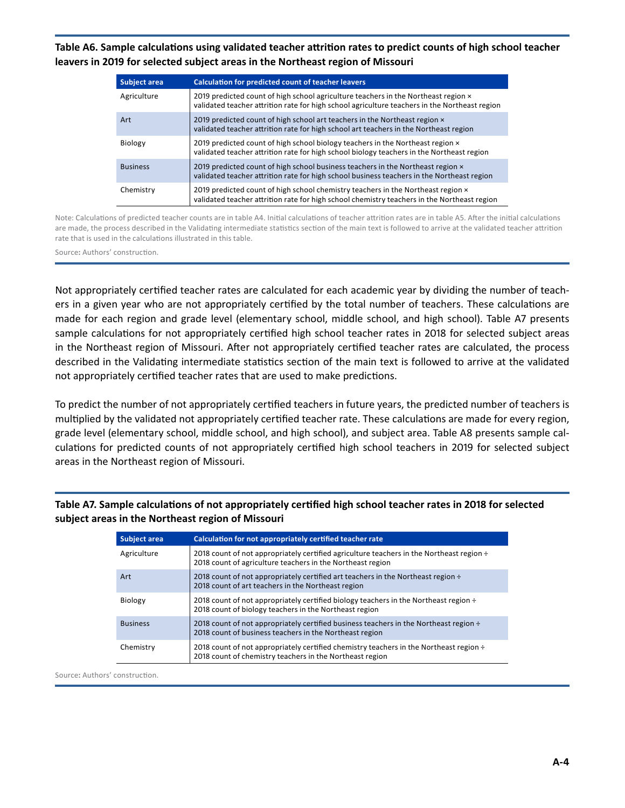<span id="page-30-0"></span>**Table A6. Sample calculations using validated teacher attrition rates to predict counts of high school teacher leavers in 2019 for selected subject areas in the Northeast region of Missouri** 

| <b>Subject area</b> | <b>Calculation for predicted count of teacher leavers</b>                                                                                                                                  |
|---------------------|--------------------------------------------------------------------------------------------------------------------------------------------------------------------------------------------|
| Agriculture         | 2019 predicted count of high school agriculture teachers in the Northeast region $\times$<br>validated teacher attrition rate for high school agriculture teachers in the Northeast region |
| Art                 | 2019 predicted count of high school art teachers in the Northeast region x<br>validated teacher attrition rate for high school art teachers in the Northeast region                        |
| Biology             | 2019 predicted count of high school biology teachers in the Northeast region $\times$<br>validated teacher attrition rate for high school biology teachers in the Northeast region         |
| <b>Business</b>     | 2019 predicted count of high school business teachers in the Northeast region $\times$<br>validated teacher attrition rate for high school business teachers in the Northeast region       |
| Chemistry           | 2019 predicted count of high school chemistry teachers in the Northeast region x<br>validated teacher attrition rate for high school chemistry teachers in the Northeast region            |

Note: Calculations of predicted teacher counts are in table A4. Initial calculations of teacher attrition rates are in table A5. After the initial calculations are made, the process described in the Validating intermediate statistics section of the main text is followed to arrive at the validated teacher attrition rate that is used in the calculations illustrated in this table.

Source**:** Authors' construction .

 Not appropriately certified teacher rates are calculated for each academic year by dividing the number of teachers in a given year who are not appropriately certified by the total number of teachers. These calculations are made for each region and grade level (elementary school, middle school, and high school). Table A7 presents sample calculations for not appropriately certified high school teacher rates in 2018 for selected subject areas in the Northeast region of Missouri. After not appropriately certified teacher rates are calculated, the process described in the Validating intermediate statistics section of the main text is followed to arrive at the validated not appropriately certified teacher rates that are used to make predictions.

 To predict the number of not appropriately certified teachers in future years, the predicted number of teachers is multiplied by the validated not appropriately certified teacher rate. These calculations are made for every region, grade level (elementary school, middle school, and high school), and subject area. Table A8 presents sample cal- culations for predicted counts of not appropriately certified high school teachers in 2019 for selected subject areas in the Northeast region of Missouri.

**Table A7. Sample calculations of not appropriately certified high school teacher rates in 2018 for selected subject areas in the Northeast region of Missouri** 

| Subject area    | Calculation for not appropriately certified teacher rate                                                                                                    |
|-----------------|-------------------------------------------------------------------------------------------------------------------------------------------------------------|
| Agriculture     | 2018 count of not appropriately certified agriculture teachers in the Northeast region $\div$<br>2018 count of agriculture teachers in the Northeast region |
| Art             | 2018 count of not appropriately certified art teachers in the Northeast region $\div$<br>2018 count of art teachers in the Northeast region                 |
| Biology         | 2018 count of not appropriately certified biology teachers in the Northeast region ÷<br>2018 count of biology teachers in the Northeast region              |
| <b>Business</b> | 2018 count of not appropriately certified business teachers in the Northeast region ÷<br>2018 count of business teachers in the Northeast region            |
| Chemistry       | 2018 count of not appropriately certified chemistry teachers in the Northeast region $\div$<br>2018 count of chemistry teachers in the Northeast region     |

Source**:** Authors' construction .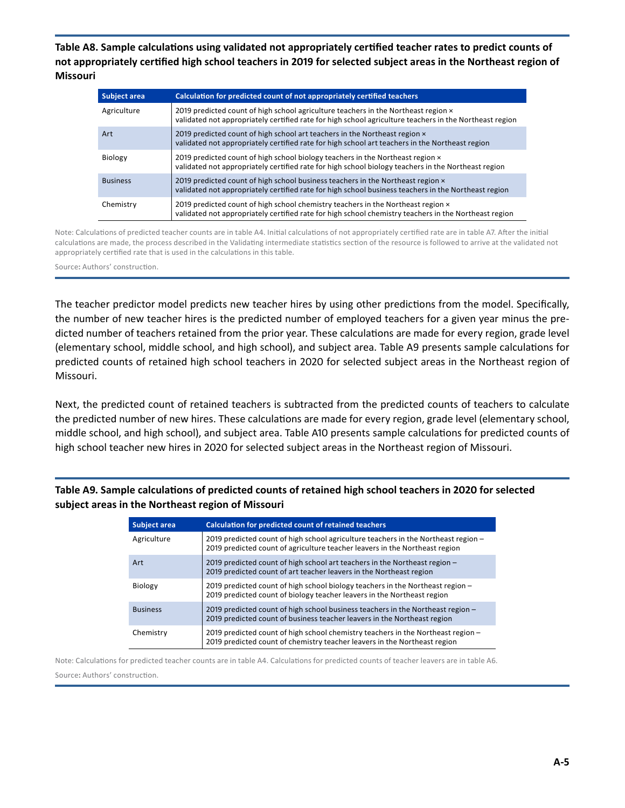<span id="page-31-0"></span>**Table A8. Sample calculations using validated not appropriately certified teacher rates to predict counts of not appropriately certified high school teachers in 2019 for selected subject areas in the Northeast region of Missouri** 

| <b>Subject area</b> | Calculation for predicted count of not appropriately certified teachers                                                                                                                          |
|---------------------|--------------------------------------------------------------------------------------------------------------------------------------------------------------------------------------------------|
| Agriculture         | 2019 predicted count of high school agriculture teachers in the Northeast region x<br>validated not appropriately certified rate for high school agriculture teachers in the Northeast region    |
| Art                 | 2019 predicted count of high school art teachers in the Northeast region x<br>validated not appropriately certified rate for high school art teachers in the Northeast region                    |
| Biology             | 2019 predicted count of high school biology teachers in the Northeast region $\times$<br>validated not appropriately certified rate for high school biology teachers in the Northeast region     |
| <b>Business</b>     | 2019 predicted count of high school business teachers in the Northeast region $\times$<br>validated not appropriately certified rate for high school business teachers in the Northeast region   |
| Chemistry           | 2019 predicted count of high school chemistry teachers in the Northeast region $\times$<br>validated not appropriately certified rate for high school chemistry teachers in the Northeast region |

Note: Calculations of predicted teacher counts are in table A4. Initial calculations of not appropriately certified rate are in table A7. After the initial calculations are made, the process described in the Validating intermediate statistics section of the resource is followed to arrive at the validated not appropriately certified rate that is used in the calculations in this table.

Source**:** Authors' construction .

The teacher predictor model predicts new teacher hires by using other predictions from the model. Specifically, the number of new teacher hires is the predicted number of employed teachers for a given year minus the predicted number of teachers retained from the prior year. These calculations are made for every region, grade level (elementary school, middle school, and high school), and subject area. Table A9 presents sample calculations for predicted counts of retained high school teachers in 2020 for selected subject areas in the Northeast region of Missouri.

 Next, the predicted count of retained teachers is subtracted from the predicted counts of teachers to calculate the predicted number of new hires. These calculations are made for every region, grade level (elementary school, middle school, and high school), and subject area. Table A10 presents sample calculations for predicted counts of high school teacher new hires in 2020 for selected subject areas in the Northeast region of Missouri.

**Table A9. Sample calculations of predicted counts of retained high school teachers in 2020 for selected subject areas in the Northeast region of Missouri** 

| Subject area    | <b>Calculation for predicted count of retained teachers</b>                                                                                                       |
|-----------------|-------------------------------------------------------------------------------------------------------------------------------------------------------------------|
| Agriculture     | 2019 predicted count of high school agriculture teachers in the Northeast region -<br>2019 predicted count of agriculture teacher leavers in the Northeast region |
| Art             | 2019 predicted count of high school art teachers in the Northeast region -<br>2019 predicted count of art teacher leavers in the Northeast region                 |
| Biology         | 2019 predicted count of high school biology teachers in the Northeast region -<br>2019 predicted count of biology teacher leavers in the Northeast region         |
| <b>Business</b> | 2019 predicted count of high school business teachers in the Northeast region -<br>2019 predicted count of business teacher leavers in the Northeast region       |
| Chemistry       | 2019 predicted count of high school chemistry teachers in the Northeast region $-$<br>2019 predicted count of chemistry teacher leavers in the Northeast region   |

Note: Calculations for predicted teacher counts are in table A4. Calculations for predicted counts of teacher leavers are in table A6. Source**:** Authors' construction .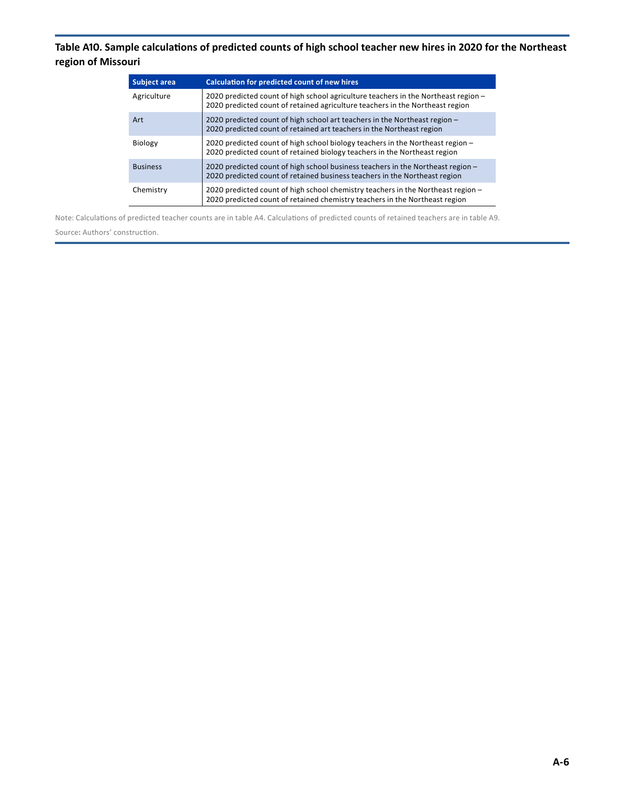### <span id="page-32-0"></span>**Table A10. Sample calculations of predicted counts of high school teacher new hires in 2020 for the Northeast region of Missouri**

| Subject area    | <b>Calculation for predicted count of new hires</b>                                                                                                                   |
|-----------------|-----------------------------------------------------------------------------------------------------------------------------------------------------------------------|
| Agriculture     | 2020 predicted count of high school agriculture teachers in the Northeast region $-$<br>2020 predicted count of retained agriculture teachers in the Northeast region |
| Art             | 2020 predicted count of high school art teachers in the Northeast region -<br>2020 predicted count of retained art teachers in the Northeast region                   |
| Biology         | 2020 predicted count of high school biology teachers in the Northeast region -<br>2020 predicted count of retained biology teachers in the Northeast region           |
| <b>Business</b> | 2020 predicted count of high school business teachers in the Northeast region -<br>2020 predicted count of retained business teachers in the Northeast region         |
| Chemistry       | 2020 predicted count of high school chemistry teachers in the Northeast region -<br>2020 predicted count of retained chemistry teachers in the Northeast region       |

Note: Calculations of predicted teacher counts are in table A4. Calculations of predicted counts of retained teachers are in table A9. Source: Authors' construction.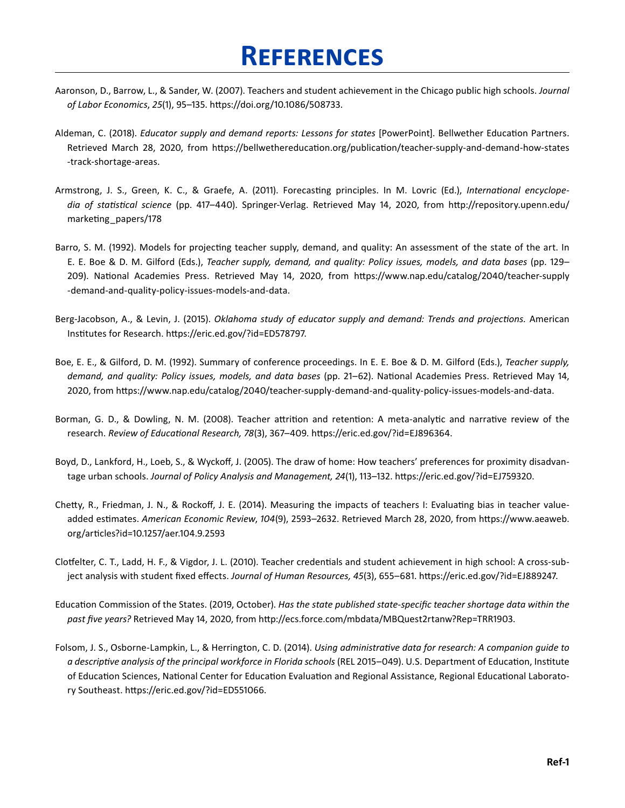# **References**

- <span id="page-33-0"></span>Aaronson, D., Barrow, L., & Sander, W. (2007). Teachers and student achievement in the Chicago public high schools. *Journal of Labor Economics*, *25*(1), 95–135 . [https://doi .org/10 .1086/508733 .](https://doi.org/10.1086/508733)
- Aldeman, C. (2018). *Educator supply and demand reports: Lessons for states* [PowerPoint]. Bellwether Education Partners. Retrieved March 28, 2020, from [https://bellwethereducation .org/publication/teacher-supply-and-demand-how-states](https://bellwethereducation.org/publication/teacher-supply-and-demand-how-states-track-shortage-areas) [-track-shortage-areas](https://bellwethereducation.org/publication/teacher-supply-and-demand-how-states-track-shortage-areas) .
- Armstrong, J. S., Green, K. C., & Graefe, A. (2011). Forecasting principles. In M. Lovric (Ed.), *International encyclope*dia of statistical science (pp. 417–440). Springer-Verlag. Retrieved May 14, 2020, from http://repository.upenn.edu/ [marketing\\_papers/178](http://repository.upenn.edu/marketing_papers/178)
- Barro, S. M. (1992). Models for projecting teacher supply, demand, and quality: An assessment of the state of the art. In E. E. Boe & D. M. Gilford (Eds.), *Teacher supply, demand, and quality: Policy issues, models, and data bases* (pp. 129– 209). National Academies Press. Retrieved May 14, 2020, from https://www.nap.edu/catalog/2040/teacher-supply [-demand-and-quality-policy-issues-models-and-data .](https://www.nap.edu/catalog/2040/teacher-supply-demand-and-quality-policy-issues-models-and-data)
- Berg-Jacobson, A., & Levin, J. (2015). *Oklahoma study of educator supply and demand: Trends and projections.* American Institutes for Research. https://eric.ed.gov/?id=ED578797.
- Boe, E. E., & Gilford, D. M. (1992). Summary of conference proceedings. In E. E. Boe & D. M. Gilford (Eds.), *Teacher supply,* demand, and quality: Policy issues, models, and data bases (pp. 21–62). National Academies Press. Retrieved May 14, 2020, from [https://www .nap .edu/catalog/2040/teacher-supply-demand-and-quality-policy-issues-models-and-data .](https://www.nap.edu/catalog/2040/teacher-supply-demand-and-quality-policy-issues-models-and-data)
- Borman, G. D., & Dowling, N. M. (2008). Teacher attrition and retention: A meta-analytic and narrative review of the research. Review of Educational Research, 78(3), 367-409. https://eric.ed.gov/?id=EJ896364.
- Boyd, D., Lankford, H., Loeb, S., & Wyckoff, J. (2005). The draw of home: How teachers' preferences for proximity disadvantage urban schools. *Journal of Policy Analysis and Management, 24*(1), 113–132. https://eric.ed.gov/?id=EJ759320.
- Chetty, R., Friedman, J. N., & Rockoff, J. E. (2014). Measuring the impacts of teachers I: Evaluating bias in teacher valueadded estimates. *American Economic Review, 104*(9), 2593–2632. Retrieved March 28, 2020, from https://www.aeaweb. [org/articles?id=10 .1257/aer .104 .9 .2593](https://www.aeaweb.org/articles?id=10.1257/aer.104.9.2593)
- Clotfelter, C. T., Ladd, H. F., & Vigdor, J. L. (2010). Teacher credentials and student achievement in high school: A cross-subject analysis with student fixed effects. *Journal of Human Resources, 45*(3), 655–681. https://eric.ed.gov/?id=EJ889247.
- Education Commission of the States. (2019, October). Has the state published state-specific teacher shortage data within the *past five years?* Retrieved May 14, 2020, from [http://ecs .force .com/mbdata/MBQuest2rtanw?Rep=TRR1903 .](http://ecs.force.com/mbdata/MBQuest2rtanw?Rep=TRR1903)
- Folsom, J. S., Osborne-Lampkin, L., & Herrington, C. D. (2014). *Using administrative data for research: A companion guide to* a descriptive analysis of the principal workforce in Florida schools (REL 2015–049). U.S. Department of Education, Institute of Education Sciences, National Center for Education Evaluation and Regional Assistance, Regional Educational Laboratory Southeast. https://eric.ed.gov/?id=ED551066.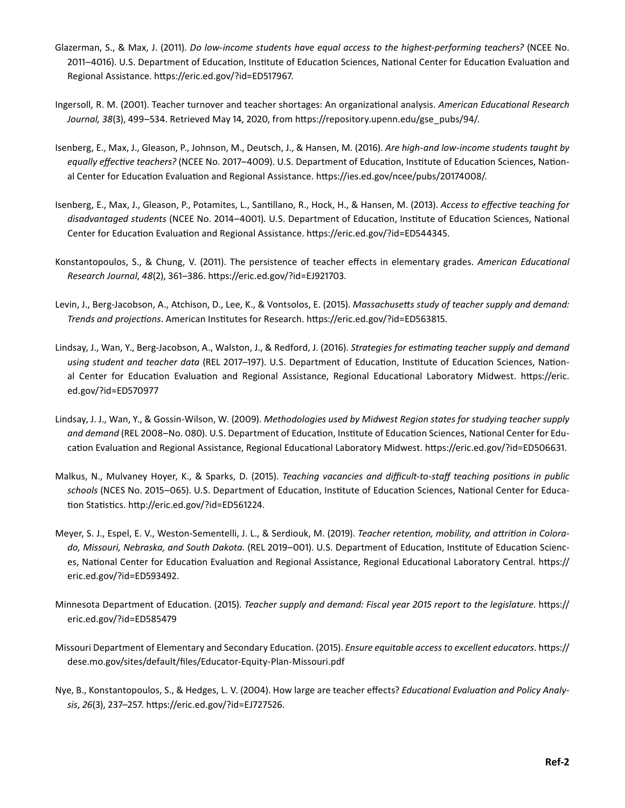- Glazerman, S., & Max, J. (2011). *Do low-income students have equal access to the highest-performing teachers?* (NCEE No. 2011–4016). U.S. Department of Education, Institute of Education Sciences, National Center for Education Evaluation and Regional Assistance. https://eric.ed.gov/?id=ED517967.
- Ingersoll, R. M. (2001). Teacher turnover and teacher shortages: An organizational analysis. American Educational Research *Journal, 38*(3), 499–534 . Retrieved May 14, 2020, from [https://repository .upenn .edu/gse\\_pubs/94/ .](https://repository.upenn.edu/gse_pubs/94/)
- Isenberg, E., Max, J., Gleason, P., Johnson, M., Deutsch, J., & Hansen, M. (2016). Are high-and low-income students taught by equally effective teachers? (NCEE No. 2017–4009). U.S. Department of Education, Institute of Education Sciences, National Center for Education Evaluation and Regional Assistance. https://ies.ed.gov/ncee/pubs/20174008/.
- Isenberg, E., Max, J., Gleason, P., Potamites, L., Santillano, R., Hock, H., & Hansen, M. (2013). Access to effective teaching for disadvantaged students (NCEE No. 2014–4001). U.S. Department of Education, Institute of Education Sciences, National Center for Education Evaluation and Regional Assistance. https://eric.ed.gov/?id=ED544345.
- Konstantopoulos, S., & Chung, V. (2011). The persistence of teacher effects in elementary grades. American Educational *Research Journal*, *48*(2), 361–386 . [https://eric .ed .gov/?id=EJ921703 .](https://eric.ed.gov/?id=EJ921703)
- Levin, J., Berg-Jacobson, A., Atchison, D., Lee, K., & Vontsolos, E. (2015). *Massachusetts study of teacher supply and demand: Trends and projections* . American Institutes for Research . [https://eric .ed .gov/?id=ED563815 .](https://eric.ed.gov/?id=ED563815)
- Lindsay, J., Wan, Y., Berg-Jacobson, A., Walston, J., & Redford, J. (2016). Strategies for estimating teacher supply and demand using student and teacher data (REL 2017–197). U.S. Department of Education, Institute of Education Sciences, National Center for Education Evaluation and Regional Assistance, Regional Educational Laboratory Midwest. https://eric. [ed .gov/?id=ED570977](https://eric.ed.gov/?id=ED570977)
- Lindsay, J. J., Wan, Y., & Gossin-Wilson, W. (2009). *Methodologies used by Midwest Region states for studying teacher supply* and demand (REL 2008–No. 080). U.S. Department of Education, Institute of Education Sciences, National Center for Education Evaluation and Regional Assistance, Regional Educational Laboratory Midwest. https://eric.ed.gov/?id=ED506631.
- Malkus, N., Mulvaney Hoyer, K., & Sparks, D. (2015). *Teaching vacancies and difficult-to-staff teaching positions in public* schools (NCES No. 2015–065). U.S. Department of Education, Institute of Education Sciences, National Center for Education Statistics. http://eric.ed.gov/?id=ED561224.
- Meyer, S. J., Espel, E. V., Weston-Sementelli, J. L., & Serdiouk, M. (2019). Teacher retention, mobility, and attrition in Colorado, Missouri, Nebraska, and South Dakota. (REL 2019–001). U.S. Department of Education, Institute of Education Sciences, National Center for Education Evaluation and Regional Assistance, Regional Educational Laboratory Central. [https://](https://eric.ed.gov/?id=ED593492) eric.ed.gov/?id=ED593492.
- *Minnesota Department of Education.* (2015). *Teacher supply and demand: Fiscal year 2015 report to the legislature.* [https://](https://eric.ed.gov/?id=ED585479) eric.ed.gov/?id=ED585479
- Missouri Department of Elementary and Secondary Education. (2015). *Ensure equitable access to excellent educators*. https:// [dese .mo .gov/sites/default/files/Educator-Equity-Plan-Missouri .pdf](https://dese.mo.gov/sites/default/files/Educator-Equity-Plan-Missouri.pdf)
- Nye, B., Konstantopoulos, S., & Hedges, L. V. (2004). How large are teacher effects? *Educational Evaluation and Policy Analy*- *sis*, *26*(3), 237–257 . [https://eric .ed .gov/?id=EJ727526 .](https://eric.ed.gov/?id=EJ727526)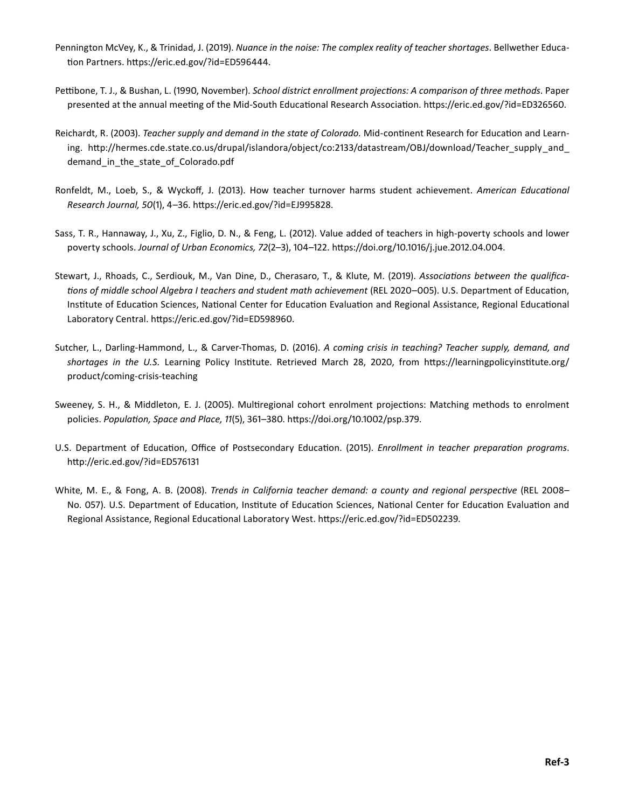- Pennington McVey, K., & Trinidad, J. (2019). *Nuance in the noise: The complex reality of teacher shortages*. Bellwether Education Partners. https://eric.ed.gov/?id=ED596444.
- Pettibone, T. J., & Bushan, L. (1990, November). School district enrollment projections: A comparison of three methods. Paper presented at the annual meeting of the Mid-South Educational Research Association. https://eric.ed.gov/?id=ED326560.
- Reichardt, R. (2003). *Teacher supply and demand in the state of Colorado*. Mid-continent Research for Education and Learning. http://hermes.cde.state.co.us/drupal/islandora/object/co:2133/datastream/OBJ/download/Teacher\_supply\_and [demand\\_in\\_the\\_state\\_of\\_Colorado .pdf](http://hermes.cde.state.co.us/drupal/islandora/object/co:2133/datastream/OBJ/download/Teacher_supply_and_demand_in_the_state_of_Colorado.pdf)
- Ronfeldt, M., Loeb, S., & Wyckoff, J. (2013). How teacher turnover harms student achievement. American Educational *Research Journal, 50*(1), 4–36 . [https://eric .ed .gov/?id=EJ995828](https://eric.ed.gov/?id=EJ995828) .
- Sass, T. R., Hannaway, J., Xu, Z., Figlio, D. N., & Feng, L. (2012). Value added of teachers in high-poverty schools and lower poverty schools. *Journal of Urban Economics, 72*(2-3), 104-122. https://doi.org/10.1016/j.jue.2012.04.004.
- Stewart, J., Rhoads, C., Serdiouk, M., Van Dine, D., Cherasaro, T., & Klute, M. (2019). Associations between the qualifications of middle school Algebra I teachers and student math achievement (REL 2020–005). U.S. Department of Education, Institute of Education Sciences, National Center for Education Evaluation and Regional Assistance, Regional Educational Laboratory Central. https://eric.ed.gov/?id=ED598960.
- Sutcher, L., Darling-Hammond, L., & Carver-Thomas, D. (2016). A coming crisis in teaching? Teacher supply, demand, and shortages in the U.S. Learning Policy Institute. Retrieved March 28, 2020, from https://learningpolicyinstitute.org/ [product/coming-crisis-teaching](https://learningpolicyinstitute.org/product/coming-crisis-teaching)
- Sweeney, S. H., & Middleton, E. J. (2005). Multiregional cohort enrolment projections: Matching methods to enrolment policies. Population, Space and Place, 11(5), 361-380. https://doi.org/10.1002/psp.379.
- U.S. Department of Education, Office of Postsecondary Education. (2015). *Enrollment in teacher preparation programs*. [http://eric .ed .gov/?id=ED576131](http://eric.ed.gov/?id=ED576131)
- White, M. E., & Fong, A. B. (2008). *Trends in California teacher demand: a county and regional perspective* (REL 2008– No. 057). U.S. Department of Education, Institute of Education Sciences, National Center for Education Evaluation and Regional Assistance, Regional Educational Laboratory West. https://eric.ed.gov/?id=ED502239.